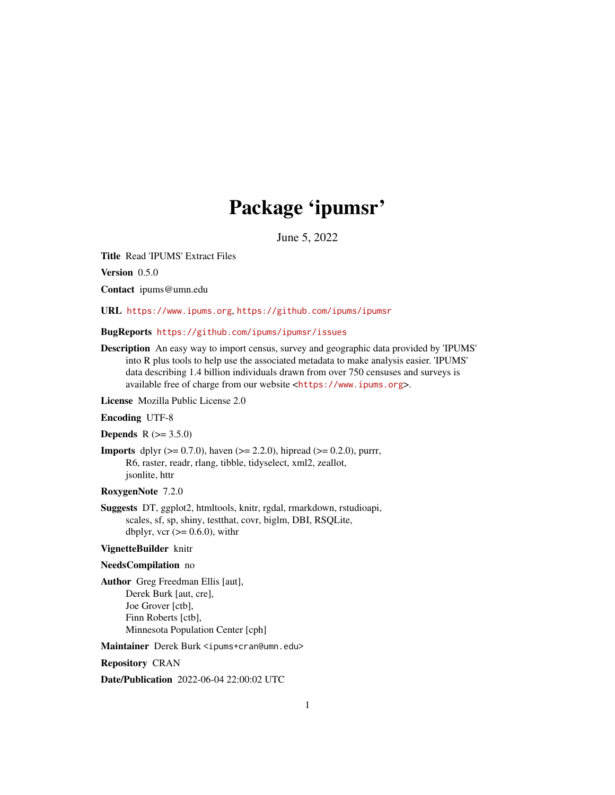# Package 'ipumsr'

June 5, 2022

<span id="page-0-0"></span>Title Read 'IPUMS' Extract Files

Version 0.5.0

Contact ipums@umn.edu

URL <https://www.ipums.org>, <https://github.com/ipums/ipumsr>

BugReports <https://github.com/ipums/ipumsr/issues>

Description An easy way to import census, survey and geographic data provided by 'IPUMS' into R plus tools to help use the associated metadata to make analysis easier. 'IPUMS' data describing 1.4 billion individuals drawn from over 750 censuses and surveys is available free of charge from our website <<https://www.ipums.org>>.

License Mozilla Public License 2.0

Encoding UTF-8

**Depends**  $R (= 3.5.0)$ 

**Imports** dplyr ( $> = 0.7.0$ ), haven ( $> = 2.2.0$ ), hipread ( $> = 0.2.0$ ), purrr, R6, raster, readr, rlang, tibble, tidyselect, xml2, zeallot, jsonlite, httr

#### RoxygenNote 7.2.0

Suggests DT, ggplot2, htmltools, knitr, rgdal, rmarkdown, rstudioapi, scales, sf, sp, shiny, testthat, covr, biglm, DBI, RSQLite, dbplyr, vcr  $(>= 0.6.0)$ , with r

#### VignetteBuilder knitr

#### NeedsCompilation no

Author Greg Freedman Ellis [aut], Derek Burk [aut, cre], Joe Grover [ctb], Finn Roberts [ctb], Minnesota Population Center [cph]

Maintainer Derek Burk <ipums+cran@umn.edu>

Repository CRAN

Date/Publication 2022-06-04 22:00:02 UTC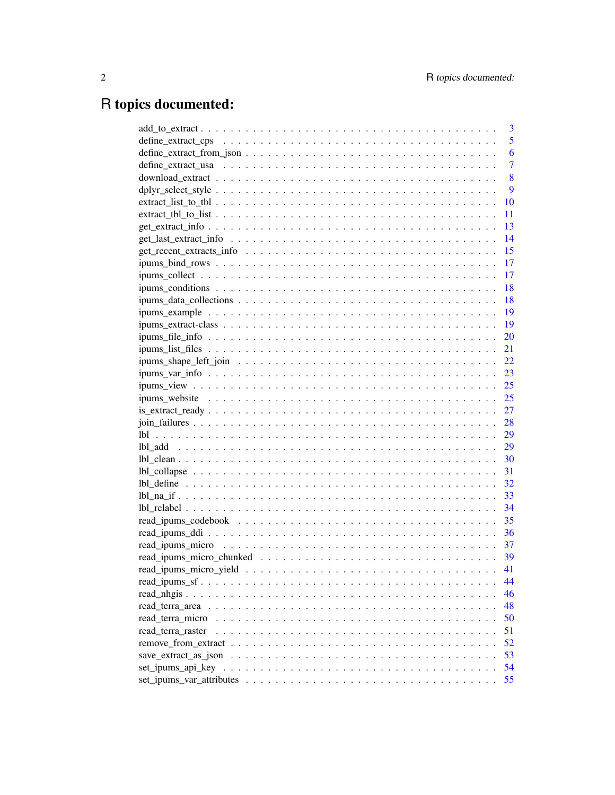# R topics documented:

| 3                       |
|-------------------------|
| 5                       |
| 6                       |
| $\overline{7}$          |
| 8                       |
| 9                       |
| 10                      |
| 11                      |
| 13                      |
| 14                      |
| 15                      |
| 17                      |
| 17                      |
| 18                      |
| 18                      |
| -19                     |
| - 19                    |
| 20                      |
|                         |
|                         |
|                         |
|                         |
|                         |
|                         |
|                         |
| 29                      |
|                         |
|                         |
|                         |
|                         |
|                         |
| 34                      |
| 35                      |
| 36                      |
| - 37                    |
|                         |
| 41                      |
| 44                      |
| 46                      |
| 48                      |
| read terra micro<br>50  |
| 51<br>read terra raster |
| 52                      |
| 53                      |
| 54                      |
| 55                      |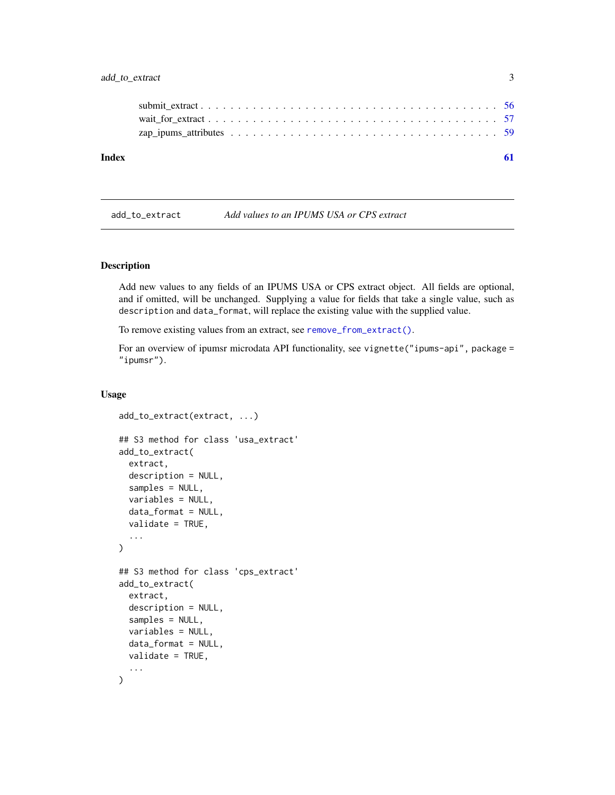<span id="page-2-0"></span>

| Index |  |
|-------|--|
|       |  |
|       |  |
|       |  |
|       |  |

<span id="page-2-1"></span>add\_to\_extract *Add values to an IPUMS USA or CPS extract*

# Description

Add new values to any fields of an IPUMS USA or CPS extract object. All fields are optional, and if omitted, will be unchanged. Supplying a value for fields that take a single value, such as description and data\_format, will replace the existing value with the supplied value.

To remove existing values from an extract, see [remove\\_from\\_extract\(\)](#page-51-1).

For an overview of ipumsr microdata API functionality, see vignette("ipums-api", package = "ipumsr").

#### Usage

```
add_to_extract(extract, ...)
## S3 method for class 'usa_extract'
add_to_extract(
 extract,
 description = NULL,
  samples = NULL,
  variables = NULL,
  data_format = NULL,
  validate = TRUE,
  ...
\lambda## S3 method for class 'cps_extract'
add_to_extract(
  extract,
  description = NULL,
  samples = NULL,
  variables = NULL,
  data_format = NULL,
 validate = TRUE,
  ...
)
```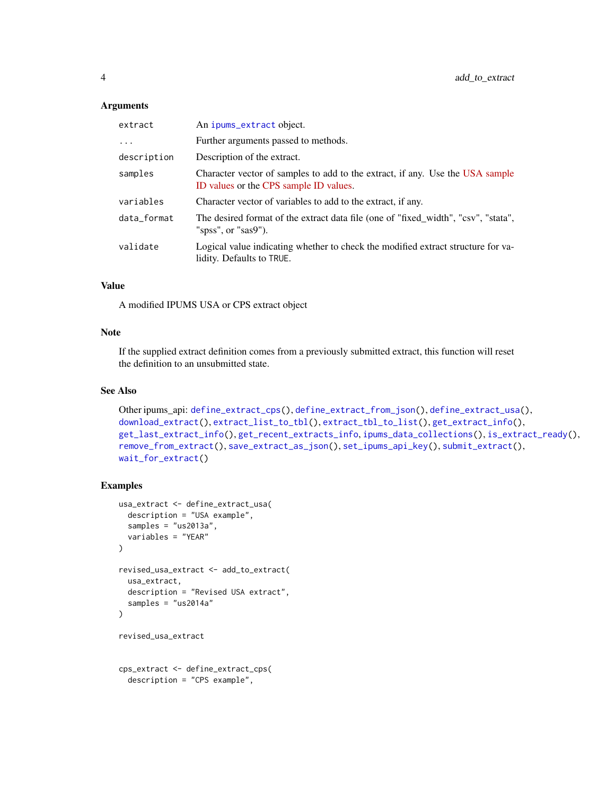#### <span id="page-3-0"></span>**Arguments**

| extract     | An ipums_extract object.                                                                                                |
|-------------|-------------------------------------------------------------------------------------------------------------------------|
| $\cdots$    | Further arguments passed to methods.                                                                                    |
| description | Description of the extract.                                                                                             |
| samples     | Character vector of samples to add to the extract, if any. Use the USA sample<br>ID values or the CPS sample ID values. |
| variables   | Character vector of variables to add to the extract, if any.                                                            |
| data_format | The desired format of the extract data file (one of "fixed_width", "csv", "stata",<br>"spss", or "sas9").               |
| validate    | Logical value indicating whether to check the modified extract structure for va-<br>lidity. Defaults to TRUE.           |

# Value

A modified IPUMS USA or CPS extract object

# Note

If the supplied extract definition comes from a previously submitted extract, this function will reset the definition to an unsubmitted state.

# See Also

```
Other ipums_api: define_extract_cps(), define_extract_from_json(), define_extract_usa(),
download_extract(), extract_list_to_tbl(), extract_tbl_to_list(), get_extract_info(),
get_last_extract_info(), get_recent_extracts_info, ipums_data_collections(), is_extract_ready(),
remove_from_extract(), save_extract_as_json(), set_ipums_api_key(), submit_extract(),
wait_for_extract()
```
# Examples

```
usa_extract <- define_extract_usa(
  description = "USA example",
  samples = "us2013a",
  variables = "YEAR"
)
revised_usa_extract <- add_to_extract(
  usa_extract,
  description = "Revised USA extract",
  samples = "us2014a"
\mathcal{L}revised_usa_extract
cps_extract <- define_extract_cps(
  description = "CPS example",
```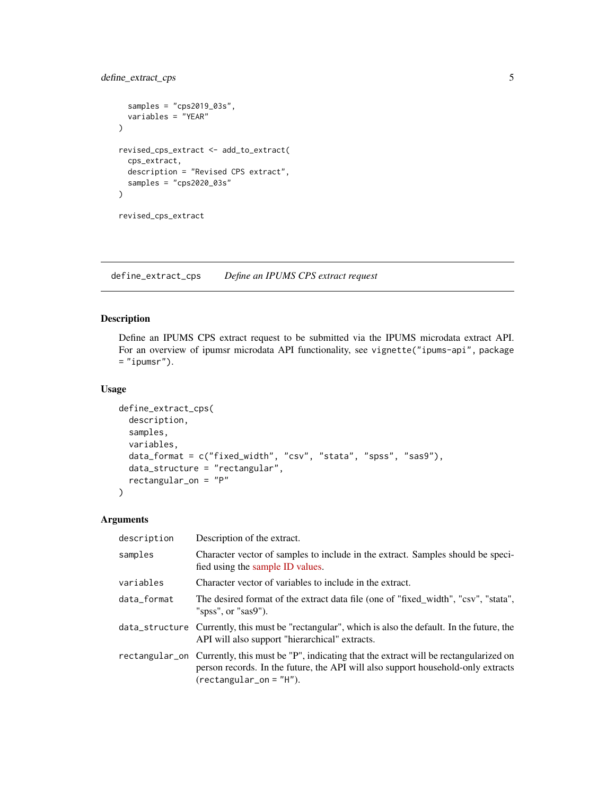# <span id="page-4-0"></span>define\_extract\_cps 5

```
samples = "cps2019_03s",
  variables = "YEAR"
\mathcal{L}revised_cps_extract <- add_to_extract(
  cps_extract,
  description = "Revised CPS extract",
  samples = "cps2020_03s"
\lambdarevised_cps_extract
```
<span id="page-4-1"></span>define\_extract\_cps *Define an IPUMS CPS extract request*

# Description

Define an IPUMS CPS extract request to be submitted via the IPUMS microdata extract API. For an overview of ipumsr microdata API functionality, see vignette("ipums-api", package  $=$  "ipumsr").

#### Usage

```
define_extract_cps(
  description,
  samples,
  variables,
  data_format = c("fixed_width", "csv", "stata", "spss", "sas9"),
  data_structure = "rectangular",
  rectangular_on = "P"
\mathcal{E}
```
# Arguments

| description | Description of the extract.                                                                                                                                                                                        |
|-------------|--------------------------------------------------------------------------------------------------------------------------------------------------------------------------------------------------------------------|
| samples     | Character vector of samples to include in the extract. Samples should be speci-<br>fied using the sample ID values.                                                                                                |
| variables   | Character vector of variables to include in the extract.                                                                                                                                                           |
| data_format | The desired format of the extract data file (one of "fixed_width", "csv", "stata",<br>"spss", or "sas9").                                                                                                          |
|             | data_structure Currently, this must be "rectangular", which is also the default. In the future, the<br>API will also support "hierarchical" extracts.                                                              |
|             | rectangular_on Currently, this must be "P", indicating that the extract will be rectangularized on<br>person records. In the future, the API will also support household-only extracts<br>$(rectangular_0 = "H").$ |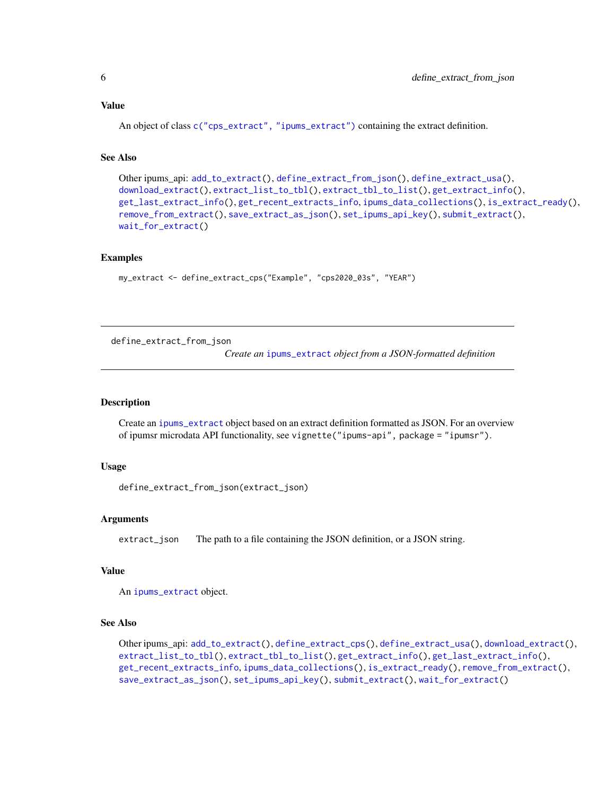# <span id="page-5-0"></span>Value

An object of class [c\("cps\\_extract", "ipums\\_extract"\)](#page-18-1) containing the extract definition.

#### See Also

```
Other ipums_api: add_to_extract(), define_extract_from_json(), define_extract_usa(),
download_extract(), extract_list_to_tbl(), extract_tbl_to_list(), get_extract_info(),
get_last_extract_info(), get_recent_extracts_info, ipums_data_collections(), is_extract_ready(),
remove_from_extract(), save_extract_as_json(), set_ipums_api_key(), submit_extract(),
wait_for_extract()
```
#### Examples

```
my_extract <- define_extract_cps("Example", "cps2020_03s", "YEAR")
```
<span id="page-5-1"></span>define\_extract\_from\_json

*Create an* [ipums\\_extract](#page-18-1) *object from a JSON-formatted definition*

#### Description

Create an [ipums\\_extract](#page-18-1) object based on an extract definition formatted as JSON. For an overview of ipumsr microdata API functionality, see vignette("ipums-api", package = "ipumsr").

#### Usage

```
define_extract_from_json(extract_json)
```
#### Arguments

extract\_json The path to a file containing the JSON definition, or a JSON string.

#### Value

An [ipums\\_extract](#page-18-1) object.

# See Also

Other ipums\_api: [add\\_to\\_extract\(](#page-2-1)), [define\\_extract\\_cps\(](#page-4-1)), [define\\_extract\\_usa\(](#page-6-1)), [download\\_extract\(](#page-7-1)), [extract\\_list\\_to\\_tbl\(](#page-9-1)), [extract\\_tbl\\_to\\_list\(](#page-10-1)), [get\\_extract\\_info\(](#page-12-1)), [get\\_last\\_extract\\_info\(](#page-13-1)), [get\\_recent\\_extracts\\_info](#page-14-1), [ipums\\_data\\_collections\(](#page-17-1)), [is\\_extract\\_ready\(](#page-26-1)), [remove\\_from\\_extract\(](#page-51-1)), [save\\_extract\\_as\\_json\(](#page-52-1)), [set\\_ipums\\_api\\_key\(](#page-53-1)), [submit\\_extract\(](#page-55-1)), [wait\\_for\\_extract\(](#page-56-1))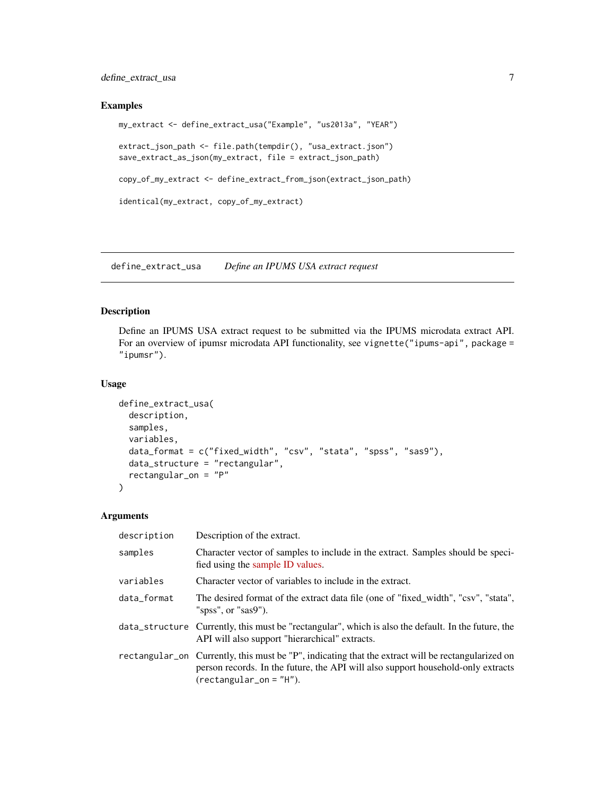# <span id="page-6-0"></span>define\_extract\_usa 7

#### Examples

```
my_extract <- define_extract_usa("Example", "us2013a", "YEAR")
extract_json_path <- file.path(tempdir(), "usa_extract.json")
save_extract_as_json(my_extract, file = extract_json_path)
copy_of_my_extract <- define_extract_from_json(extract_json_path)
identical(my_extract, copy_of_my_extract)
```
<span id="page-6-1"></span>define\_extract\_usa *Define an IPUMS USA extract request*

# Description

Define an IPUMS USA extract request to be submitted via the IPUMS microdata extract API. For an overview of ipumsr microdata API functionality, see vignette("ipums-api", package = "ipumsr").

#### Usage

```
define_extract_usa(
  description,
  samples,
  variables,
  data_format = c("fixed_width", "csv", "stata", "spss", "sas9"),
  data_structure = "rectangular",
  rectangular_on = "P"
)
```
#### Arguments

| description | Description of the extract.                                                                                                                                                                                        |
|-------------|--------------------------------------------------------------------------------------------------------------------------------------------------------------------------------------------------------------------|
| samples     | Character vector of samples to include in the extract. Samples should be speci-<br>fied using the sample ID values.                                                                                                |
| variables   | Character vector of variables to include in the extract.                                                                                                                                                           |
| data_format | The desired format of the extract data file (one of "fixed_width", "csv", "stata",<br>"spss", or "sas9").                                                                                                          |
|             | data_structure Currently, this must be "rectangular", which is also the default. In the future, the<br>API will also support "hierarchical" extracts.                                                              |
|             | rectangular_on Currently, this must be "P", indicating that the extract will be rectangularized on<br>person records. In the future, the API will also support household-only extracts<br>$(rectangular_0 = "H").$ |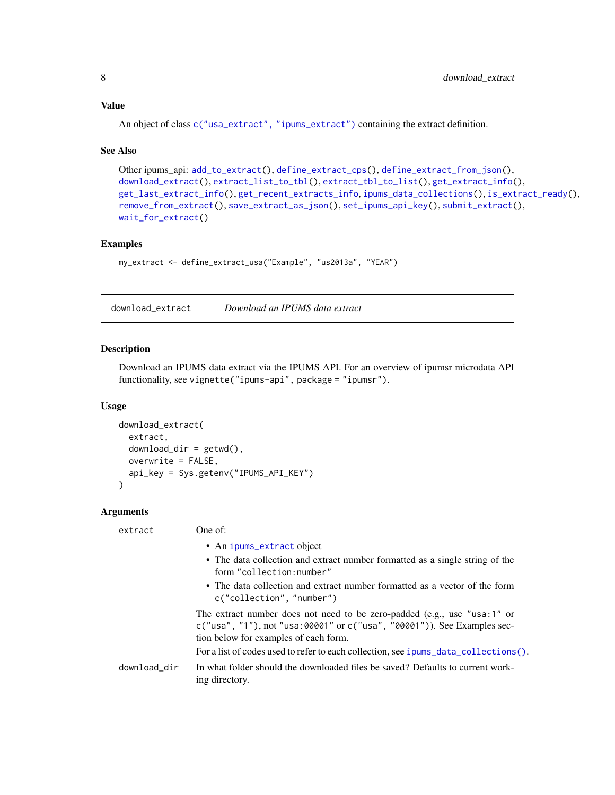# <span id="page-7-0"></span>Value

An object of class [c\("usa\\_extract", "ipums\\_extract"\)](#page-18-1) containing the extract definition.

#### See Also

```
Other ipums_api: add_to_extract(), define_extract_cps(), define_extract_from_json(),
download_extract(), extract_list_to_tbl(), extract_tbl_to_list(), get_extract_info(),
get_last_extract_info(), get_recent_extracts_info, ipums_data_collections(), is_extract_ready(),
remove_from_extract(), save_extract_as_json(), set_ipums_api_key(), submit_extract(),
wait_for_extract()
```
# Examples

```
my_extract <- define_extract_usa("Example", "us2013a", "YEAR")
```
<span id="page-7-1"></span>download\_extract *Download an IPUMS data extract*

#### Description

Download an IPUMS data extract via the IPUMS API. For an overview of ipumsr microdata API functionality, see vignette("ipums-api", package = "ipumsr").

#### Usage

```
download_extract(
  extract,
  download\_dir = getwd(),
  overwrite = FALSE,
  api_key = Sys.getenv("IPUMS_API_KEY")
\lambda
```
# Arguments

| extract      | One of:                                                                                                                                                                                       |
|--------------|-----------------------------------------------------------------------------------------------------------------------------------------------------------------------------------------------|
|              | • An ipums_extract object                                                                                                                                                                     |
|              | • The data collection and extract number formatted as a single string of the<br>form "collection:number"                                                                                      |
|              | • The data collection and extract number formatted as a vector of the form<br>c("collection", "number")                                                                                       |
|              | The extract number does not need to be zero-padded (e.g., use "usa:1" or<br>c("usa", "1"), not "usa: 00001" or c("usa", "00001")). See Examples sec-<br>tion below for examples of each form. |
|              | For a list of codes used to refer to each collection, see ipums_data_collections().                                                                                                           |
| download_dir | In what folder should the downloaded files be saved? Defaults to current work-<br>ing directory.                                                                                              |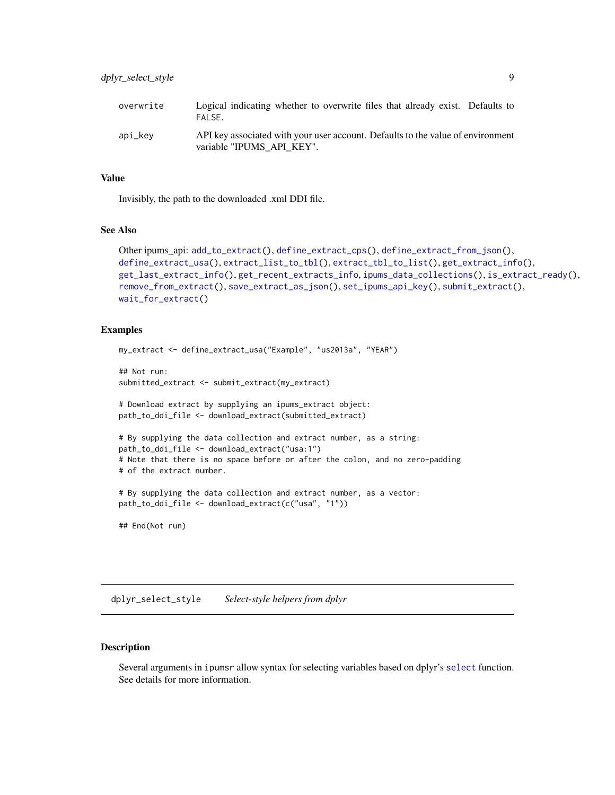<span id="page-8-0"></span>

| overwrite | Logical indicating whether to overwrite files that already exist. Defaults to<br>FAI SF.                     |
|-----------|--------------------------------------------------------------------------------------------------------------|
| api_kev   | API key associated with your user account. Defaults to the value of environment<br>variable "IPUMS API KEY". |

#### Value

Invisibly, the path to the downloaded .xml DDI file.

#### See Also

```
Other ipums_api: add_to_extract(), define_extract_cps(), define_extract_from_json(),
define_extract_usa(), extract_list_to_tbl(), extract_tbl_to_list(), get_extract_info(),
get_last_extract_info(), get_recent_extracts_info, ipums_data_collections(), is_extract_ready(),
remove_from_extract(), save_extract_as_json(), set_ipums_api_key(), submit_extract(),
wait_for_extract()
```
#### Examples

```
my_extract <- define_extract_usa("Example", "us2013a", "YEAR")
```

```
## Not run:
submitted_extract <- submit_extract(my_extract)
```
# Download extract by supplying an ipums\_extract object: path\_to\_ddi\_file <- download\_extract(submitted\_extract)

```
# By supplying the data collection and extract number, as a string:
path_to_ddi_file <- download_extract("usa:1")
# Note that there is no space before or after the colon, and no zero-padding
# of the extract number.
```

```
# By supplying the data collection and extract number, as a vector:
path_to_ddi_file <- download_extract(c("usa", "1"))
```
## End(Not run)

<span id="page-8-1"></span>dplyr\_select\_style *Select-style helpers from dplyr*

# Description

Several arguments in ipumsr allow syntax for selecting variables based on dplyr's [select](#page-0-0) function. See details for more information.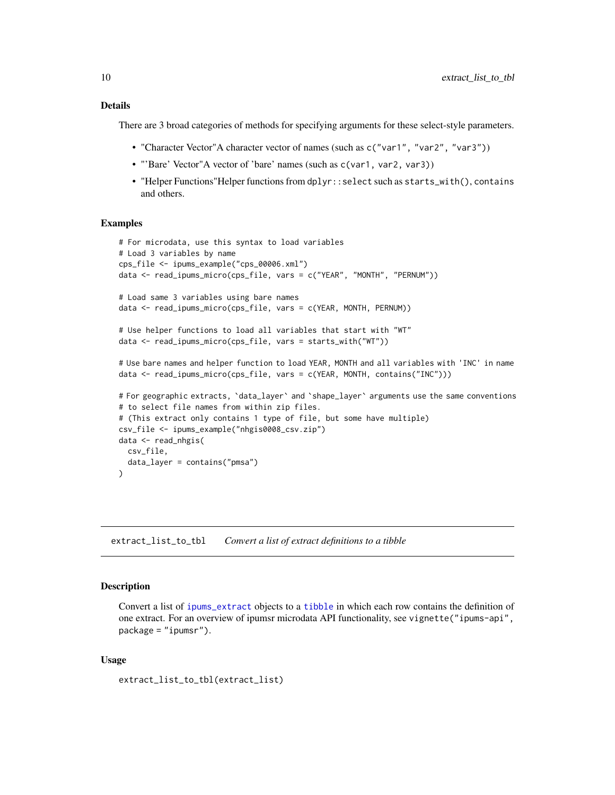# <span id="page-9-0"></span>Details

There are 3 broad categories of methods for specifying arguments for these select-style parameters.

- "Character Vector"A character vector of names (such as c("var1", "var2", "var3"))
- "'Bare' Vector"A vector of 'bare' names (such as c(var1, var2, var3))
- "Helper Functions"Helper functions from dplyr::select such as starts\_with(), contains and others.

#### Examples

```
# For microdata, use this syntax to load variables
# Load 3 variables by name
cps_file <- ipums_example("cps_00006.xml")
data <- read_ipums_micro(cps_file, vars = c("YEAR", "MONTH", "PERNUM"))
# Load same 3 variables using bare names
data <- read_ipums_micro(cps_file, vars = c(YEAR, MONTH, PERNUM))
# Use helper functions to load all variables that start with "WT"
data <- read_ipums_micro(cps_file, vars = starts_with("WT"))
# Use bare names and helper function to load YEAR, MONTH and all variables with 'INC' in name
data <- read_ipums_micro(cps_file, vars = c(YEAR, MONTH, contains("INC")))
# For geographic extracts, `data_layer` and `shape_layer` arguments use the same conventions
# to select file names from within zip files.
# (This extract only contains 1 type of file, but some have multiple)
csv_file <- ipums_example("nhgis0008_csv.zip")
data <- read_nhgis(
 csv_file,
 data_layer = contains("pmsa")
\lambda
```
<span id="page-9-1"></span>extract\_list\_to\_tbl *Convert a list of extract definitions to a tibble*

#### **Description**

Convert a list of [ipums\\_extract](#page-18-1) objects to a [tibble](#page-0-0) in which each row contains the definition of one extract. For an overview of ipumsr microdata API functionality, see vignette("ipums-api", package = "ipumsr").

#### Usage

```
extract_list_to_tbl(extract_list)
```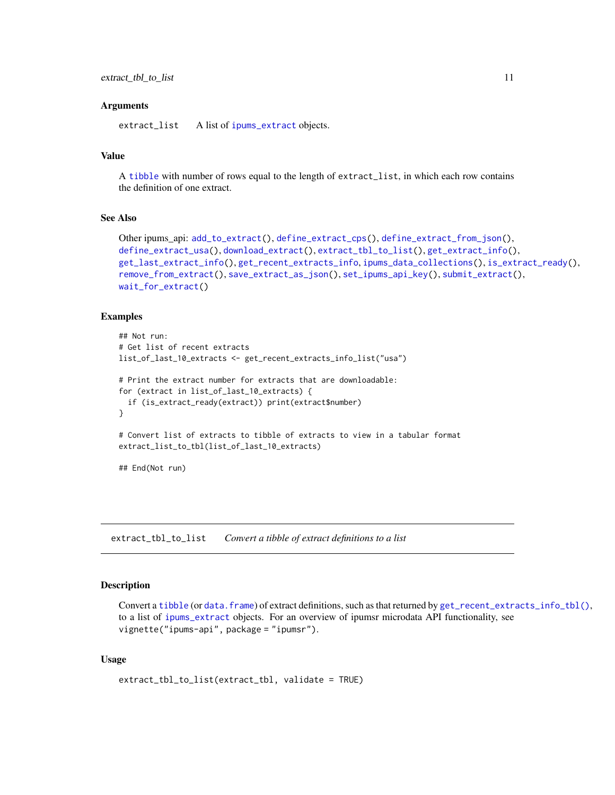#### <span id="page-10-0"></span>**Arguments**

extract\_list A list of [ipums\\_extract](#page-18-1) objects.

# Value

A [tibble](#page-0-0) with number of rows equal to the length of extract\_list, in which each row contains the definition of one extract.

# See Also

```
Other ipums_api: add_to_extract(), define_extract_cps(), define_extract_from_json(),
define_extract_usa(), download_extract(), extract_tbl_to_list(), get_extract_info(),
get_last_extract_info(), get_recent_extracts_info, ipums_data_collections(), is_extract_ready(),
remove_from_extract(), save_extract_as_json(), set_ipums_api_key(), submit_extract(),
wait_for_extract()
```
#### Examples

```
## Not run:
# Get list of recent extracts
list_of_last_10_extracts <- get_recent_extracts_info_list("usa")
# Print the extract number for extracts that are downloadable:
for (extract in list_of_last_10_extracts) {
 if (is_extract_ready(extract)) print(extract$number)
}
# Convert list of extracts to tibble of extracts to view in a tabular format
extract_list_to_tbl(list_of_last_10_extracts)
## End(Not run)
```
<span id="page-10-1"></span>extract\_tbl\_to\_list *Convert a tibble of extract definitions to a list*

#### Description

Convert a [tibble](#page-0-0) (or [data.frame](#page-0-0)) of extract definitions, such as that returned by [get\\_recent\\_extracts\\_info\\_tbl\(\)](#page-14-2), to a list of [ipums\\_extract](#page-18-1) objects. For an overview of ipumsr microdata API functionality, see vignette("ipums-api", package = "ipumsr").

#### Usage

```
extract_tbl_to_list(extract_tbl, validate = TRUE)
```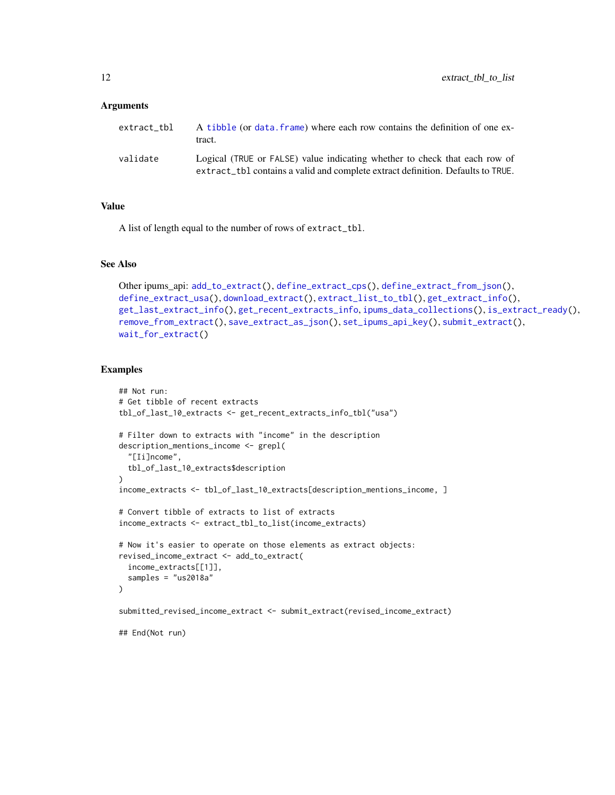#### <span id="page-11-0"></span>**Arguments**

| extract tbl | A tibble (or data, frame) where each row contains the definition of one ex-<br>tract.                                                                         |
|-------------|---------------------------------------------------------------------------------------------------------------------------------------------------------------|
| validate    | Logical (TRUE or FALSE) value indicating whether to check that each row of<br>extract_tbl contains a valid and complete extract definition. Defaults to TRUE. |

#### Value

A list of length equal to the number of rows of extract\_tbl.

# See Also

```
Other ipums_api: add_to_extract(), define_extract_cps(), define_extract_from_json(),
define_extract_usa(), download_extract(), extract_list_to_tbl(), get_extract_info(),
get_last_extract_info(), get_recent_extracts_info, ipums_data_collections(), is_extract_ready(),
remove_from_extract(), save_extract_as_json(), set_ipums_api_key(), submit_extract(),
wait_for_extract()
```
# Examples

```
## Not run:
# Get tibble of recent extracts
tbl_of_last_10_extracts <- get_recent_extracts_info_tbl("usa")
# Filter down to extracts with "income" in the description
description_mentions_income <- grepl(
 "[Ii]ncome",
 tbl_of_last_10_extracts$description
\lambdaincome_extracts <- tbl_of_last_10_extracts[description_mentions_income, ]
# Convert tibble of extracts to list of extracts
income_extracts <- extract_tbl_to_list(income_extracts)
# Now it's easier to operate on those elements as extract objects:
revised_income_extract <- add_to_extract(
 income_extracts[[1]],
 samples = "us2018a"
)
submitted_revised_income_extract <- submit_extract(revised_income_extract)
```
## End(Not run)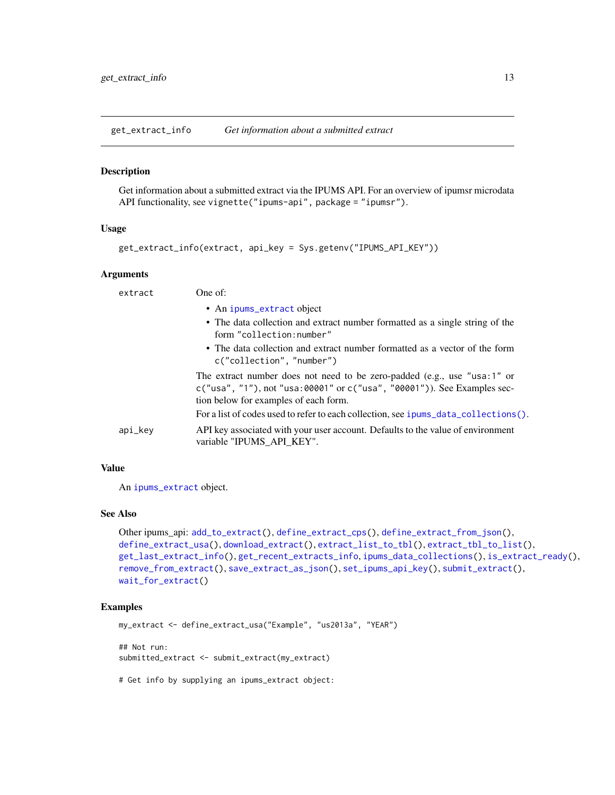<span id="page-12-1"></span><span id="page-12-0"></span>get\_extract\_info *Get information about a submitted extract*

#### Description

Get information about a submitted extract via the IPUMS API. For an overview of ipumsr microdata API functionality, see vignette("ipums-api", package = "ipumsr").

#### Usage

```
get_extract_info(extract, api_key = Sys.getenv("IPUMS_API_KEY"))
```
#### **Arguments**

| extract |         | One of:                                                                                                                                                                                             |
|---------|---------|-----------------------------------------------------------------------------------------------------------------------------------------------------------------------------------------------------|
|         |         | • An ipums_extract object                                                                                                                                                                           |
|         |         | • The data collection and extract number formatted as a single string of the<br>form "collection:number"                                                                                            |
|         |         | • The data collection and extract number formatted as a vector of the form<br>c("collection", "number")                                                                                             |
|         |         | The extract number does not need to be zero-padded (e.g., use "usa:1" or<br>$c("usa", "1")$ , not "usa: 00001" or $c("usa", "00001")$ ). See Examples sec-<br>tion below for examples of each form. |
|         |         | For a list of codes used to refer to each collection, see ipums_data_collections().                                                                                                                 |
|         | api_key | API key associated with your user account. Defaults to the value of environment<br>variable "IPUMS API KEY".                                                                                        |
|         |         |                                                                                                                                                                                                     |

# Value

An [ipums\\_extract](#page-18-1) object.

# See Also

```
Other ipums_api: add_to_extract(), define_extract_cps(), define_extract_from_json(),
define_extract_usa(), download_extract(), extract_list_to_tbl(), extract_tbl_to_list(),
get_last_extract_info(), get_recent_extracts_info, ipums_data_collections(), is_extract_ready(),
remove_from_extract(), save_extract_as_json(), set_ipums_api_key(), submit_extract(),
wait_for_extract()
```
#### Examples

my\_extract <- define\_extract\_usa("Example", "us2013a", "YEAR") ## Not run: submitted\_extract <- submit\_extract(my\_extract)

# Get info by supplying an ipums\_extract object: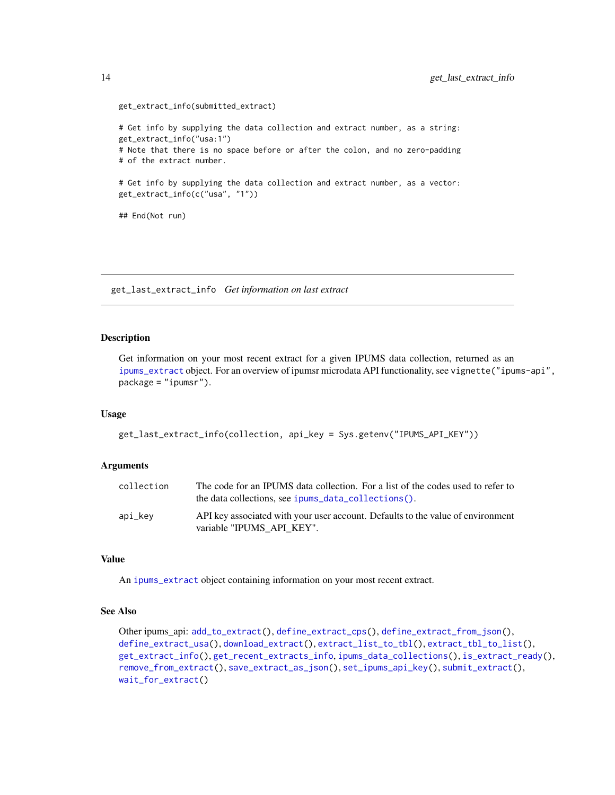```
get_extract_info(submitted_extract)
# Get info by supplying the data collection and extract number, as a string:
get_extract_info("usa:1")
# Note that there is no space before or after the colon, and no zero-padding
# of the extract number.
# Get info by supplying the data collection and extract number, as a vector:
get_extract_info(c("usa", "1"))
## End(Not run)
```
<span id="page-13-1"></span>get\_last\_extract\_info *Get information on last extract*

#### Description

Get information on your most recent extract for a given IPUMS data collection, returned as an [ipums\\_extract](#page-18-1) object. For an overview of ipumsr microdata API functionality, see vignette("ipums-api", package = "ipumsr").

#### Usage

```
get_last_extract_info(collection, api_key = Sys.getenv("IPUMS_API_KEY"))
```
#### **Arguments**

| collection | The code for an IPUMS data collection. For a list of the codes used to refer to<br>the data collections, see ipums data collections(). |
|------------|----------------------------------------------------------------------------------------------------------------------------------------|
| api_kev    | API key associated with your user account. Defaults to the value of environment<br>variable "IPUMS API KEY".                           |

#### Value

An [ipums\\_extract](#page-18-1) object containing information on your most recent extract.

# See Also

```
Other ipums_api: add_to_extract(), define_extract_cps(), define_extract_from_json(),
define_extract_usa(), download_extract(), extract_list_to_tbl(), extract_tbl_to_list(),
get_extract_info(), get_recent_extracts_info, ipums_data_collections(), is_extract_ready(),
remove_from_extract(), save_extract_as_json(), set_ipums_api_key(), submit_extract(),
wait_for_extract()
```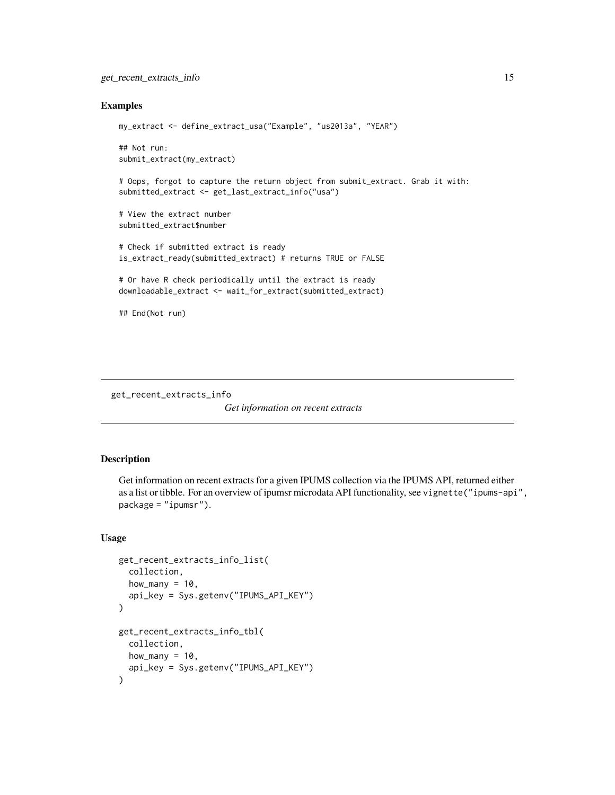#### <span id="page-14-0"></span>Examples

```
my_extract <- define_extract_usa("Example", "us2013a", "YEAR")
## Not run:
submit_extract(my_extract)
# Oops, forgot to capture the return object from submit_extract. Grab it with:
submitted_extract <- get_last_extract_info("usa")
# View the extract number
submitted_extract$number
# Check if submitted extract is ready
is_extract_ready(submitted_extract) # returns TRUE or FALSE
# Or have R check periodically until the extract is ready
downloadable_extract <- wait_for_extract(submitted_extract)
## End(Not run)
```
<span id="page-14-1"></span>get\_recent\_extracts\_info

*Get information on recent extracts*

# <span id="page-14-2"></span>Description

Get information on recent extracts for a given IPUMS collection via the IPUMS API, returned either as a list or tibble. For an overview of ipumsr microdata API functionality, see vignette("ipums-api", package = "ipumsr").

#### Usage

```
get_recent_extracts_info_list(
  collection,
  how_many = 10,
  api_key = Sys.getenv("IPUMS_API_KEY")
\mathcal{L}get_recent_extracts_info_tbl(
  collection,
 how_many = 10,
  api_key = Sys.getenv("IPUMS_API_KEY")
)
```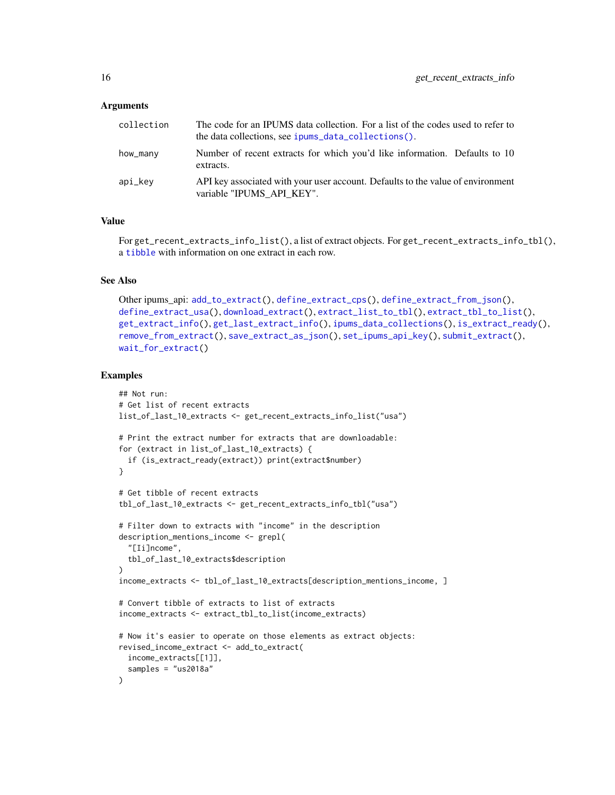#### <span id="page-15-0"></span>**Arguments**

| collection | The code for an IPUMS data collection. For a list of the codes used to refer to<br>the data collections, see ipums_data_collections(). |
|------------|----------------------------------------------------------------------------------------------------------------------------------------|
| how_many   | Number of recent extracts for which you'd like information. Defaults to 10<br>extracts.                                                |
| api_kev    | API key associated with your user account. Defaults to the value of environment<br>variable "IPUMS API KEY".                           |

# Value

For get\_recent\_extracts\_info\_list(), a list of extract objects. For get\_recent\_extracts\_info\_tbl(), a [tibble](#page-0-0) with information on one extract in each row.

#### See Also

```
Other ipums_api: add_to_extract(), define_extract_cps(), define_extract_from_json(),
define_extract_usa(), download_extract(), extract_list_to_tbl(), extract_tbl_to_list(),
get_extract_info(), get_last_extract_info(), ipums_data_collections(), is_extract_ready(),
remove_from_extract(), save_extract_as_json(), set_ipums_api_key(), submit_extract(),
wait_for_extract()
```
#### Examples

```
## Not run:
# Get list of recent extracts
list_of_last_10_extracts <- get_recent_extracts_info_list("usa")
# Print the extract number for extracts that are downloadable:
for (extract in list_of_last_10_extracts) {
  if (is_extract_ready(extract)) print(extract$number)
}
# Get tibble of recent extracts
tbl_of_last_10_extracts <- get_recent_extracts_info_tbl("usa")
# Filter down to extracts with "income" in the description
description_mentions_income <- grepl(
  "[Ii]ncome",
  tbl_of_last_10_extracts$description
\lambdaincome_extracts <- tbl_of_last_10_extracts[description_mentions_income, ]
# Convert tibble of extracts to list of extracts
income_extracts <- extract_tbl_to_list(income_extracts)
# Now it's easier to operate on those elements as extract objects:
revised_income_extract <- add_to_extract(
 income_extracts[[1]],
  samples = "us2018a"
)
```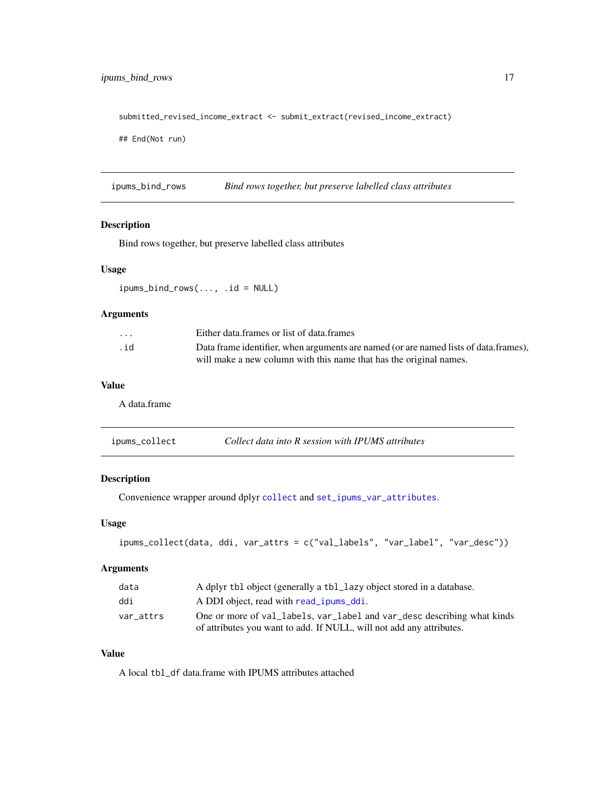# <span id="page-16-0"></span>ipums\_bind\_rows 17

submitted\_revised\_income\_extract <- submit\_extract(revised\_income\_extract)

## End(Not run)

ipums\_bind\_rows *Bind rows together, but preserve labelled class attributes*

#### Description

Bind rows together, but preserve labelled class attributes

#### Usage

ipums\_bind\_rows(..., .id = NULL)

# Arguments

| $\cdot$ $\cdot$ $\cdot$ | Either data frames or list of data frames                                            |
|-------------------------|--------------------------------------------------------------------------------------|
| .id                     | Data frame identifier, when arguments are named (or are named lists of data frames), |
|                         | will make a new column with this name that has the original names.                   |

# Value

A data.frame

| Collect data into R session with IPUMS attributes<br>ipums_collect |  |  |  |
|--------------------------------------------------------------------|--|--|--|
|--------------------------------------------------------------------|--|--|--|

# Description

Convenience wrapper around dplyr [collect](#page-0-0) and [set\\_ipums\\_var\\_attributes](#page-54-1).

# Usage

```
ipums_collect(data, ddi, var_attrs = c("val_labels", "var_label", "var_desc"))
```
# Arguments

| data      | A dplyr tbl object (generally a tbl_lazy object stored in a database.   |
|-----------|-------------------------------------------------------------------------|
| ddi       | A DDI object, read with read _ipums_ddi.                                |
| var attrs | One or more of val_labels, var_label and var_desc describing what kinds |
|           | of attributes you want to add. If NULL, will not add any attributes.    |

# Value

A local tbl\_df data.frame with IPUMS attributes attached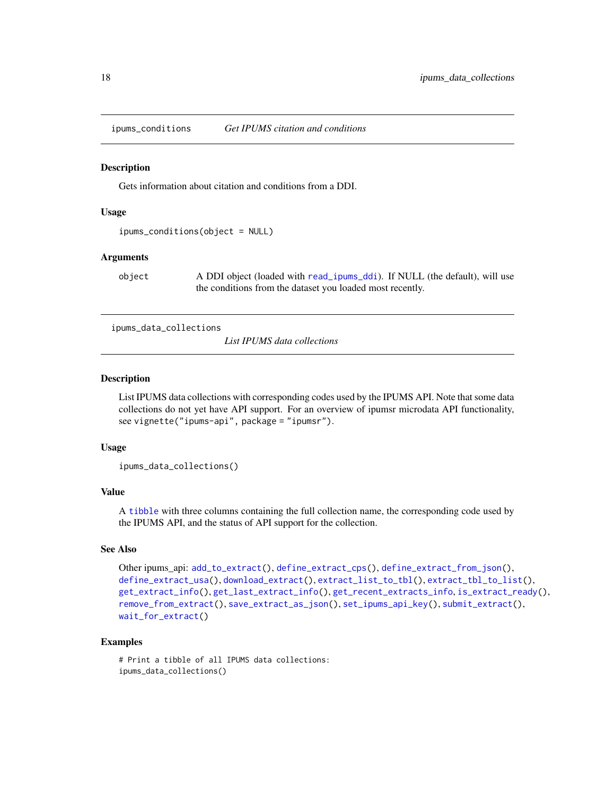<span id="page-17-0"></span>ipums\_conditions *Get IPUMS citation and conditions*

#### **Description**

Gets information about citation and conditions from a DDI.

#### Usage

ipums\_conditions(object = NULL)

#### Arguments

object A DDI object (loaded with [read\\_ipums\\_ddi](#page-35-1)). If NULL (the default), will use the conditions from the dataset you loaded most recently.

<span id="page-17-1"></span>ipums\_data\_collections

*List IPUMS data collections*

#### Description

List IPUMS data collections with corresponding codes used by the IPUMS API. Note that some data collections do not yet have API support. For an overview of ipumsr microdata API functionality, see vignette("ipums-api", package = "ipumsr").

# Usage

ipums\_data\_collections()

# Value

A [tibble](#page-0-0) with three columns containing the full collection name, the corresponding code used by the IPUMS API, and the status of API support for the collection.

# See Also

```
Other ipums_api: add_to_extract(), define_extract_cps(), define_extract_from_json(),
define_extract_usa(), download_extract(), extract_list_to_tbl(), extract_tbl_to_list(),
get_extract_info(), get_last_extract_info(), get_recent_extracts_info, is_extract_ready(),
remove_from_extract(), save_extract_as_json(), set_ipums_api_key(), submit_extract(),
wait_for_extract()
```
# Examples

```
# Print a tibble of all IPUMS data collections:
ipums_data_collections()
```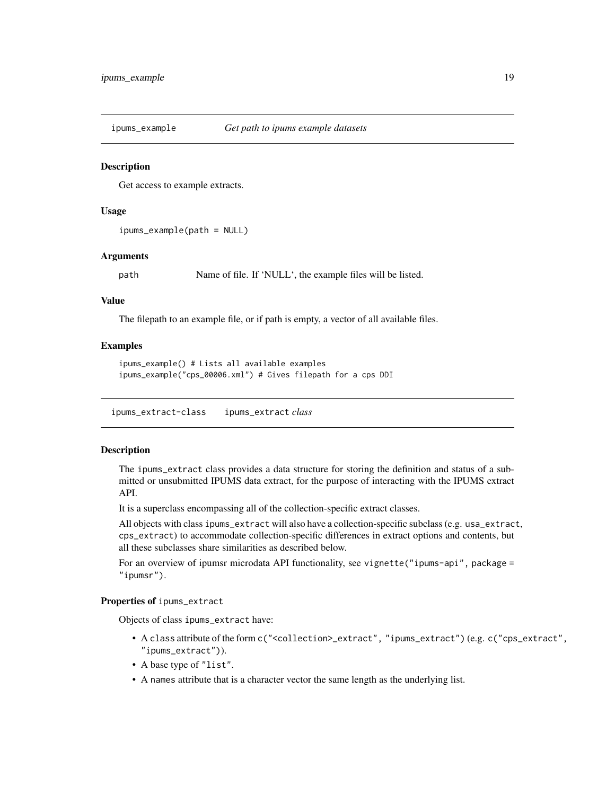<span id="page-18-0"></span>ipums\_example *Get path to ipums example datasets*

#### **Description**

Get access to example extracts.

# Usage

```
ipums_example(path = NULL)
```
# Arguments

path Name of file. If 'NULL', the example files will be listed.

# Value

The filepath to an example file, or if path is empty, a vector of all available files.

#### Examples

```
ipums_example() # Lists all available examples
ipums_example("cps_00006.xml") # Gives filepath for a cps DDI
```
<span id="page-18-1"></span>ipums\_extract-class ipums\_extract *class*

# Description

The ipums\_extract class provides a data structure for storing the definition and status of a submitted or unsubmitted IPUMS data extract, for the purpose of interacting with the IPUMS extract API.

It is a superclass encompassing all of the collection-specific extract classes.

All objects with class ipums\_extract will also have a collection-specific subclass (e.g. usa\_extract, cps\_extract) to accommodate collection-specific differences in extract options and contents, but all these subclasses share similarities as described below.

For an overview of ipumsr microdata API functionality, see vignette("ipums-api", package = "ipumsr").

#### Properties of ipums\_extract

Objects of class ipums\_extract have:

- A class attribute of the form c("<collection>\_extract", "ipums\_extract") (e.g. c("cps\_extract", "ipums\_extract")).
- A base type of "list".
- A names attribute that is a character vector the same length as the underlying list.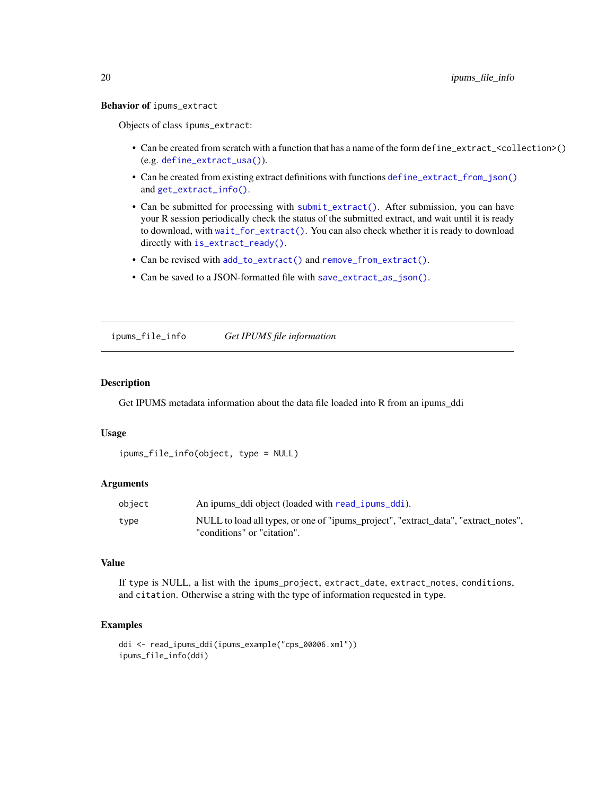#### <span id="page-19-0"></span>Behavior of ipums\_extract

Objects of class ipums\_extract:

- Can be created from scratch with a function that has a name of the form define\_extract\_<collection>() (e.g. [define\\_extract\\_usa\(\)](#page-6-1)).
- Can be created from existing extract definitions with functions [define\\_extract\\_from\\_json\(\)](#page-5-1) and [get\\_extract\\_info\(\)](#page-12-1).
- Can be submitted for processing with [submit\\_extract\(\)](#page-55-1). After submission, you can have your R session periodically check the status of the submitted extract, and wait until it is ready to download, with [wait\\_for\\_extract\(\)](#page-56-1). You can also check whether it is ready to download directly with [is\\_extract\\_ready\(\)](#page-26-1).
- Can be revised with [add\\_to\\_extract\(\)](#page-2-1) and [remove\\_from\\_extract\(\)](#page-51-1).
- Can be saved to a JSON-formatted file with [save\\_extract\\_as\\_json\(\)](#page-52-1).

ipums\_file\_info *Get IPUMS file information*

#### Description

Get IPUMS metadata information about the data file loaded into R from an ipums\_ddi

#### Usage

```
ipums_file_info(object, type = NULL)
```
#### **Arguments**

| object | An ipums ddi object (loaded with read _ipums _ddi).                                 |
|--------|-------------------------------------------------------------------------------------|
| type   | NULL to load all types, or one of "ipums_project", "extract_data", "extract_notes", |
|        | "conditions" or "citation".                                                         |

# Value

If type is NULL, a list with the ipums\_project, extract\_date, extract\_notes, conditions, and citation. Otherwise a string with the type of information requested in type.

#### Examples

```
ddi <- read_ipums_ddi(ipums_example("cps_00006.xml"))
ipums_file_info(ddi)
```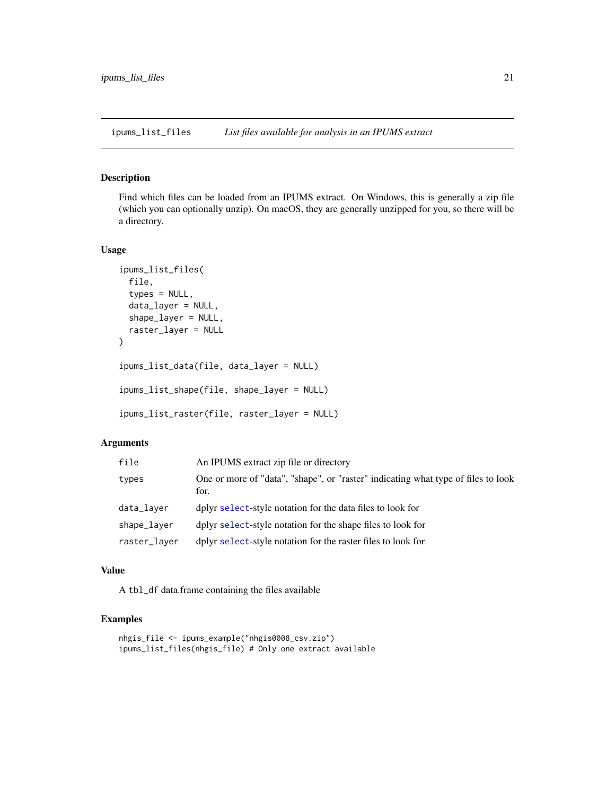<span id="page-20-0"></span>ipums\_list\_files *List files available for analysis in an IPUMS extract*

# Description

Find which files can be loaded from an IPUMS extract. On Windows, this is generally a zip file (which you can optionally unzip). On macOS, they are generally unzipped for you, so there will be a directory.

#### Usage

```
ipums_list_files(
  file,
  types = NULL,
 data_layer = NULL,
  shape_layer = NULL,
  raster_layer = NULL
)
ipums_list_data(file, data_layer = NULL)
ipums_list_shape(file, shape_layer = NULL)
ipums_list_raster(file, raster_layer = NULL)
```
# Arguments

| file         | An IPUMS extract zip file or directory                                                    |
|--------------|-------------------------------------------------------------------------------------------|
| types        | One or more of "data", "shape", or "raster" indicating what type of files to look<br>for. |
| data_layer   | dplyr select-style notation for the data files to look for                                |
| shape_layer  | dplyr select-style notation for the shape files to look for                               |
| raster_layer | dplyr select-style notation for the raster files to look for                              |

# Value

A tbl\_df data.frame containing the files available

# Examples

```
nhgis_file <- ipums_example("nhgis0008_csv.zip")
ipums_list_files(nhgis_file) # Only one extract available
```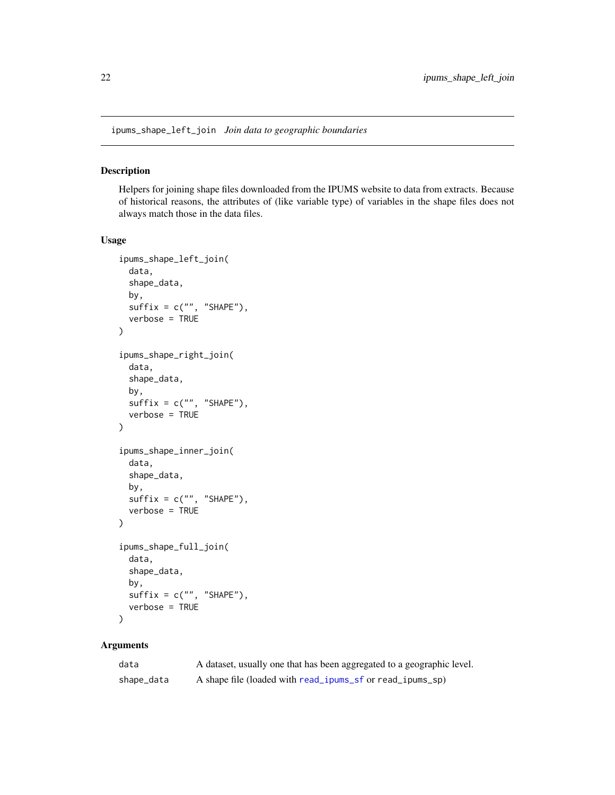<span id="page-21-1"></span><span id="page-21-0"></span>ipums\_shape\_left\_join *Join data to geographic boundaries*

# Description

Helpers for joining shape files downloaded from the IPUMS website to data from extracts. Because of historical reasons, the attributes of (like variable type) of variables in the shape files does not always match those in the data files.

# Usage

```
ipums_shape_left_join(
  data,
  shape_data,
  by,
  \text{suffix} = \text{c("", "SHAPE")},verbose = TRUE
)
ipums_shape_right_join(
  data,
  shape_data,
 by,
  suffix = c("", "SHAPE"),verbose = TRUE
)
ipums_shape_inner_join(
  data,
  shape_data,
  by,
  suffix = c("", "SHAPE"),verbose = TRUE
)
ipums_shape_full_join(
  data,
  shape_data,
  by,
  suffix = c("", "SHAPE"),verbose = TRUE
\mathcal{L}
```
# Arguments

| data       | A dataset, usually one that has been aggregated to a geographic level. |
|------------|------------------------------------------------------------------------|
| shape_data | A shape file (loaded with read_ipums_sf or read_ipums_sp)              |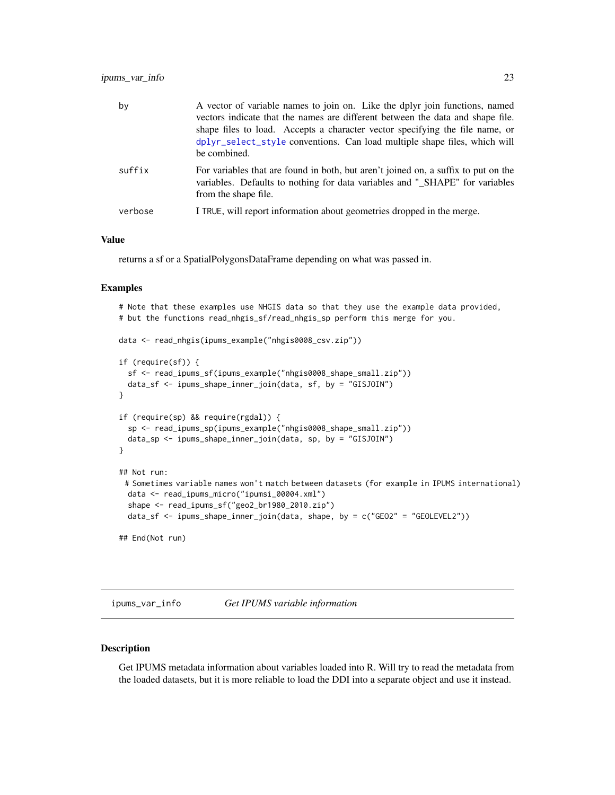<span id="page-22-0"></span>

| by      | A vector of variable names to join on. Like the dplyr join functions, named<br>vectors indicate that the names are different between the data and shape file.<br>shape files to load. Accepts a character vector specifying the file name, or<br>dplyr_select_style conventions. Can load multiple shape files, which will<br>be combined. |
|---------|--------------------------------------------------------------------------------------------------------------------------------------------------------------------------------------------------------------------------------------------------------------------------------------------------------------------------------------------|
| suffix  | For variables that are found in both, but aren't joined on, a suffix to put on the<br>variables. Defaults to nothing for data variables and "_SHAPE" for variables<br>from the shape file.                                                                                                                                                 |
| verbose | I TRUE, will report information about geometries dropped in the merge.                                                                                                                                                                                                                                                                     |

# Value

returns a sf or a SpatialPolygonsDataFrame depending on what was passed in.

#### Examples

```
# Note that these examples use NHGIS data so that they use the example data provided,
# but the functions read_nhgis_sf/read_nhgis_sp perform this merge for you.
data <- read_nhgis(ipums_example("nhgis0008_csv.zip"))
if (require(sf)) {
 sf <- read_ipums_sf(ipums_example("nhgis0008_shape_small.zip"))
 data_sf <- ipums_shape_inner_join(data, sf, by = "GISJOIN")
}
if (require(sp) && require(rgdal)) {
 sp <- read_ipums_sp(ipums_example("nhgis0008_shape_small.zip"))
 data_sp <- ipums_shape_inner_join(data, sp, by = "GISJOIN")
}
## Not run:
 # Sometimes variable names won't match between datasets (for example in IPUMS international)
 data <- read_ipums_micro("ipumsi_00004.xml")
 shape <- read_ipums_sf("geo2_br1980_2010.zip")
 data_sf <- ipums_shape_inner_join(data, shape, by = c("GEO2" = "GEOLEVEL2"))
## End(Not run)
```
ipums\_var\_info *Get IPUMS variable information*

#### Description

Get IPUMS metadata information about variables loaded into R. Will try to read the metadata from the loaded datasets, but it is more reliable to load the DDI into a separate object and use it instead.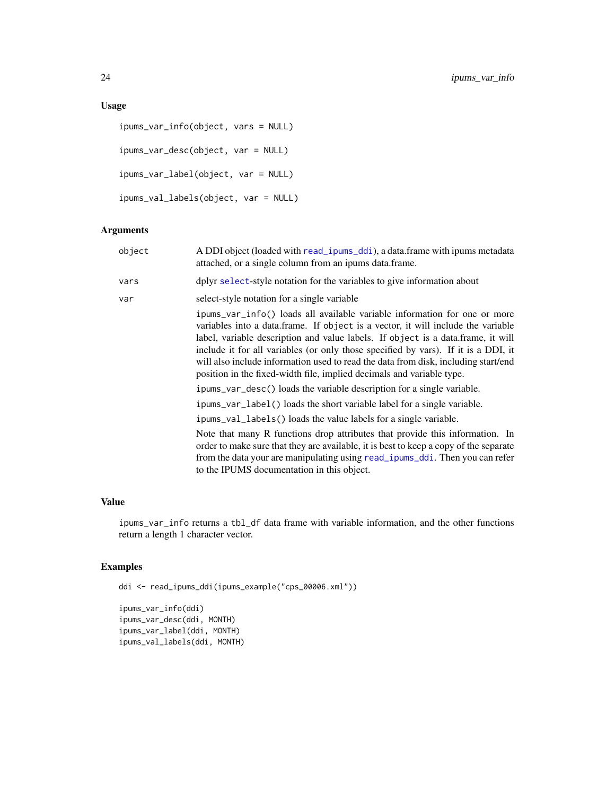# <span id="page-23-0"></span>Usage

```
ipums_var_info(object, vars = NULL)
ipums_var_desc(object, var = NULL)
ipums_var_label(object, var = NULL)
ipums_val_labels(object, var = NULL)
```
# Arguments

| object | A DDI object (loaded with read_ipums_ddi), a data.frame with ipums metadata<br>attached, or a single column from an ipums data.frame.                                                                                                                                                                                                                                                                                                                                                                  |
|--------|--------------------------------------------------------------------------------------------------------------------------------------------------------------------------------------------------------------------------------------------------------------------------------------------------------------------------------------------------------------------------------------------------------------------------------------------------------------------------------------------------------|
| vars   | dplyr select-style notation for the variables to give information about                                                                                                                                                                                                                                                                                                                                                                                                                                |
| var    | select-style notation for a single variable                                                                                                                                                                                                                                                                                                                                                                                                                                                            |
|        | ipums_var_info() loads all available variable information for one or more<br>variables into a data.frame. If object is a vector, it will include the variable<br>label, variable description and value labels. If object is a data.frame, it will<br>include it for all variables (or only those specified by vars). If it is a DDI, it<br>will also include information used to read the data from disk, including start/end<br>position in the fixed-width file, implied decimals and variable type. |
|        | ipums_var_desc() loads the variable description for a single variable.                                                                                                                                                                                                                                                                                                                                                                                                                                 |
|        | ipums_var_label() loads the short variable label for a single variable.                                                                                                                                                                                                                                                                                                                                                                                                                                |
|        | ipums_val_labels() loads the value labels for a single variable.                                                                                                                                                                                                                                                                                                                                                                                                                                       |
|        | Note that many R functions drop attributes that provide this information. In<br>order to make sure that they are available, it is best to keep a copy of the separate<br>from the data your are manipulating using read_ipums_ddi. Then you can refer<br>to the IPUMS documentation in this object.                                                                                                                                                                                                    |
|        |                                                                                                                                                                                                                                                                                                                                                                                                                                                                                                        |

# Value

ipums\_var\_info returns a tbl\_df data frame with variable information, and the other functions return a length 1 character vector.

# Examples

ddi <- read\_ipums\_ddi(ipums\_example("cps\_00006.xml"))

```
ipums_var_info(ddi)
ipums_var_desc(ddi, MONTH)
ipums_var_label(ddi, MONTH)
ipums_val_labels(ddi, MONTH)
```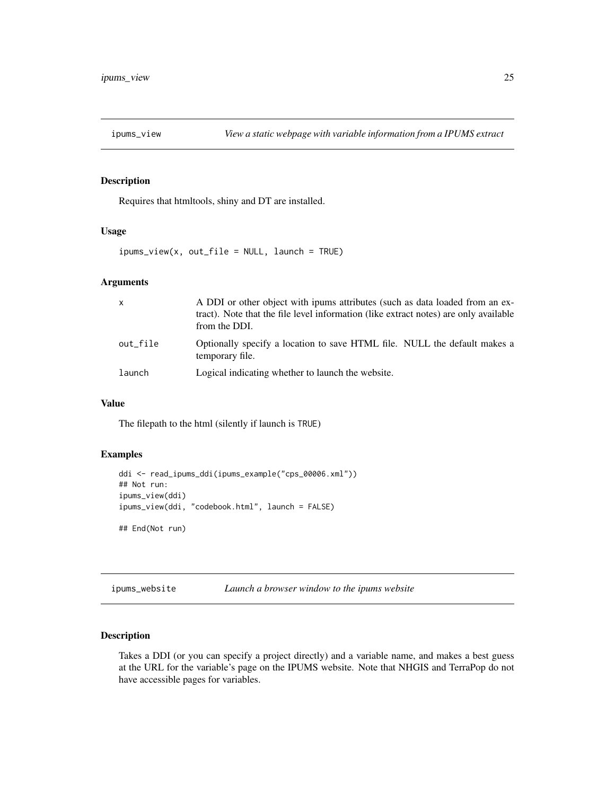<span id="page-24-0"></span>

#### Description

Requires that htmltools, shiny and DT are installed.

# Usage

 $ipums\_view(x, out_file = NULL, launch = TRUE)$ 

# Arguments

| $\mathsf{x}$ | A DDI or other object with ipums attributes (such as data loaded from an ex-<br>tract). Note that the file level information (like extract notes) are only available<br>from the DDI. |
|--------------|---------------------------------------------------------------------------------------------------------------------------------------------------------------------------------------|
| out file     | Optionally specify a location to save HTML file. NULL the default makes a<br>temporary file.                                                                                          |
| launch       | Logical indicating whether to launch the website.                                                                                                                                     |

# Value

The filepath to the html (silently if launch is TRUE)

# Examples

```
ddi <- read_ipums_ddi(ipums_example("cps_00006.xml"))
## Not run:
ipums_view(ddi)
ipums_view(ddi, "codebook.html", launch = FALSE)
```
## End(Not run)

# ipums\_website *Launch a browser window to the ipums website*

# Description

Takes a DDI (or you can specify a project directly) and a variable name, and makes a best guess at the URL for the variable's page on the IPUMS website. Note that NHGIS and TerraPop do not have accessible pages for variables.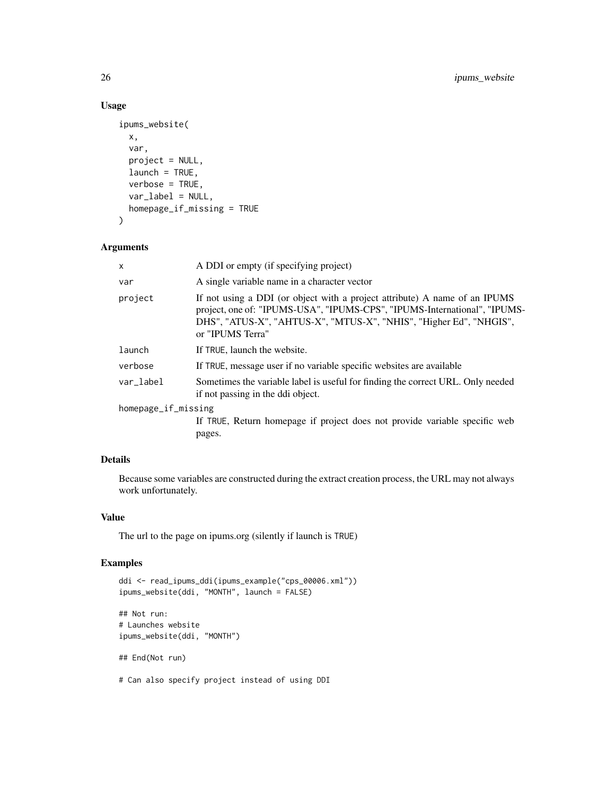# Usage

```
ipums_website(
 x,
 var,
 project = NULL,
 launch = TRUE,
 verbose = TRUE,
 var_label = NULL,
 homepage_if_missing = TRUE
)
```
#### Arguments

| $\mathsf{x}$        | A DDI or empty (if specifying project)                                                                                                                                                                                                            |
|---------------------|---------------------------------------------------------------------------------------------------------------------------------------------------------------------------------------------------------------------------------------------------|
| var                 | A single variable name in a character vector                                                                                                                                                                                                      |
| project             | If not using a DDI (or object with a project attribute) A name of an IPUMS<br>project, one of: "IPUMS-USA", "IPUMS-CPS", "IPUMS-International", "IPUMS-<br>DHS", "ATUS-X", "AHTUS-X", "MTUS-X", "NHIS", "Higher Ed", "NHGIS",<br>or "IPUMS Terra" |
| launch              | If TRUE, launch the website.                                                                                                                                                                                                                      |
| verbose             | If TRUE, message user if no variable specific websites are available                                                                                                                                                                              |
| var_label           | Sometimes the variable label is useful for finding the correct URL. Only needed<br>if not passing in the ddi object.                                                                                                                              |
| homepage_if_missing |                                                                                                                                                                                                                                                   |
|                     | If TRUE, Return homepage if project does not provide variable specific web                                                                                                                                                                        |
|                     | pages.                                                                                                                                                                                                                                            |

# Details

Because some variables are constructed during the extract creation process, the URL may not always work unfortunately.

# Value

The url to the page on ipums.org (silently if launch is TRUE)

# Examples

```
ddi <- read_ipums_ddi(ipums_example("cps_00006.xml"))
ipums_website(ddi, "MONTH", launch = FALSE)
## Not run:
# Launches website
ipums_website(ddi, "MONTH")
## End(Not run)
```
# Can also specify project instead of using DDI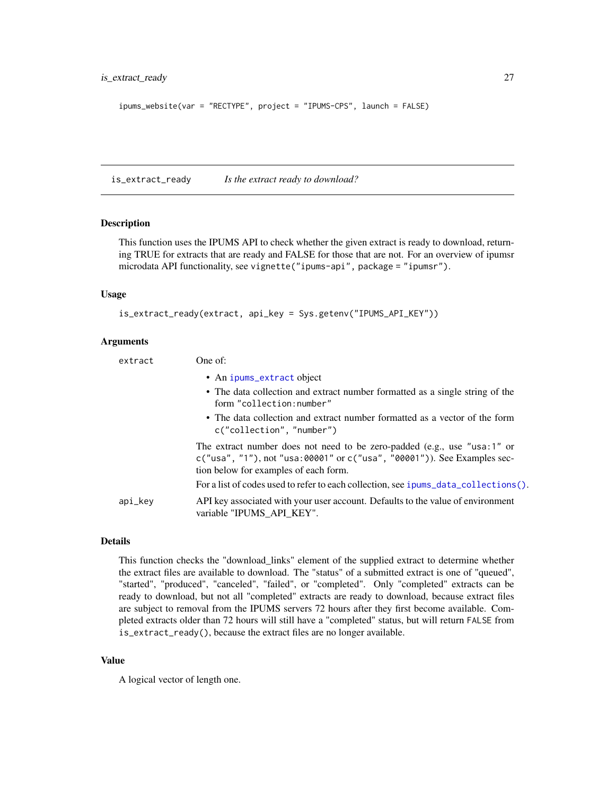<span id="page-26-0"></span>is\_extract\_ready 27

```
ipums_website(var = "RECTYPE", project = "IPUMS-CPS", launch = FALSE)
```
<span id="page-26-1"></span>is\_extract\_ready *Is the extract ready to download?*

#### Description

This function uses the IPUMS API to check whether the given extract is ready to download, returning TRUE for extracts that are ready and FALSE for those that are not. For an overview of ipumsr microdata API functionality, see vignette("ipums-api", package = "ipumsr").

#### Usage

```
is_extract_ready(extract, api_key = Sys.getenv("IPUMS_API_KEY"))
```
#### Arguments

| extract | One of:                                                                                                                                                                                             |
|---------|-----------------------------------------------------------------------------------------------------------------------------------------------------------------------------------------------------|
|         | • An ipums_extract object                                                                                                                                                                           |
|         | • The data collection and extract number formatted as a single string of the<br>form "collection:number"                                                                                            |
|         | • The data collection and extract number formatted as a vector of the form<br>c("collection", "number")                                                                                             |
|         | The extract number does not need to be zero-padded (e.g., use "usa:1" or<br>$c("usa", "1")$ , not "usa: 00001" or $c("usa", "00001")$ ). See Examples sec-<br>tion below for examples of each form. |
|         | For a list of codes used to refer to each collection, see ipums_data_collections().                                                                                                                 |
| api_key | API key associated with your user account. Defaults to the value of environment<br>variable "IPUMS API KEY".                                                                                        |

# Details

This function checks the "download\_links" element of the supplied extract to determine whether the extract files are available to download. The "status" of a submitted extract is one of "queued", "started", "produced", "canceled", "failed", or "completed". Only "completed" extracts can be ready to download, but not all "completed" extracts are ready to download, because extract files are subject to removal from the IPUMS servers 72 hours after they first become available. Completed extracts older than 72 hours will still have a "completed" status, but will return FALSE from is\_extract\_ready(), because the extract files are no longer available.

#### Value

A logical vector of length one.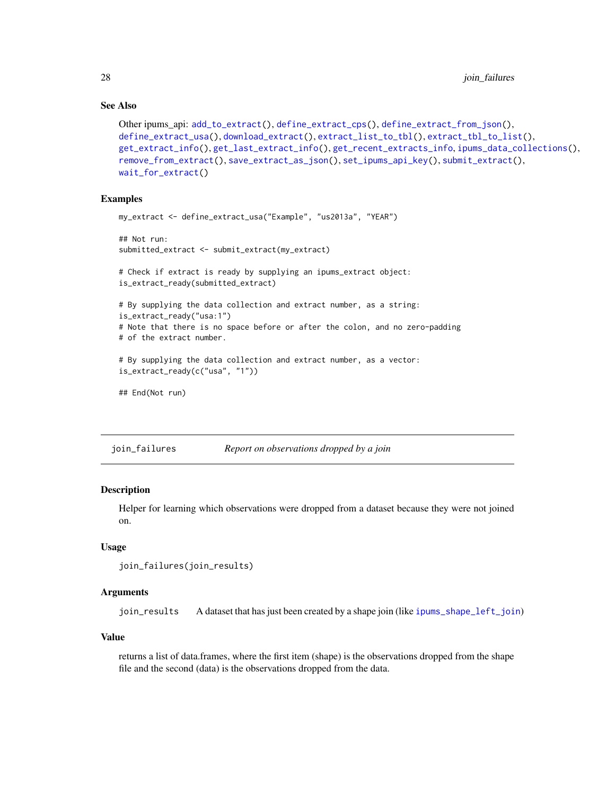# See Also

```
Other ipums_api: add_to_extract(), define_extract_cps(), define_extract_from_json(),
define_extract_usa(), download_extract(), extract_list_to_tbl(), extract_tbl_to_list(),
get_extract_info(), get_last_extract_info(), get_recent_extracts_info, ipums_data_collections(),
remove_from_extract(), save_extract_as_json(), set_ipums_api_key(), submit_extract(),
wait_for_extract()
```
# Examples

```
my_extract <- define_extract_usa("Example", "us2013a", "YEAR")
## Not run:
submitted_extract <- submit_extract(my_extract)
# Check if extract is ready by supplying an ipums_extract object:
is_extract_ready(submitted_extract)
# By supplying the data collection and extract number, as a string:
is_extract_ready("usa:1")
# Note that there is no space before or after the colon, and no zero-padding
# of the extract number.
# By supplying the data collection and extract number, as a vector:
is_extract_ready(c("usa", "1"))
## End(Not run)
```
join\_failures *Report on observations dropped by a join*

# Description

Helper for learning which observations were dropped from a dataset because they were not joined on.

#### Usage

```
join_failures(join_results)
```
#### Arguments

join\_results A dataset that has just been created by a shape join (like [ipums\\_shape\\_left\\_join](#page-21-1))

# Value

returns a list of data.frames, where the first item (shape) is the observations dropped from the shape file and the second (data) is the observations dropped from the data.

<span id="page-27-0"></span>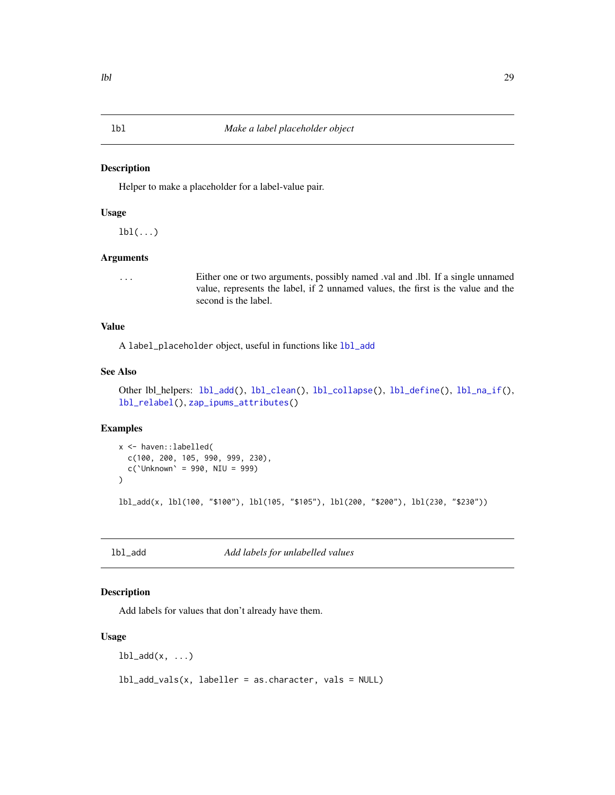#### <span id="page-28-2"></span><span id="page-28-0"></span>Description

Helper to make a placeholder for a label-value pair.

#### Usage

 $1bl(...)$ 

#### Arguments

... Either one or two arguments, possibly named .val and .lbl. If a single unnamed value, represents the label, if 2 unnamed values, the first is the value and the second is the label.

# Value

A label\_placeholder object, useful in functions like [lbl\\_add](#page-28-1)

# See Also

```
Other lbl_helpers: lbl_add(), lbl_clean(), lbl_collapse(), lbl_define(), lbl_na_if(),
lbl_relabel(), zap_ipums_attributes()
```
#### Examples

```
x <- haven::labelled(
  c(100, 200, 105, 990, 999, 230),
  c('Unknown' = 990, NIU = 999)\mathcal{L}lbl_add(x, lbl(100, "$100"), lbl(105, "$105"), lbl(200, "$200"), lbl(230, "$230"))
```
<span id="page-28-1"></span>lbl\_add *Add labels for unlabelled values*

#### Description

Add labels for values that don't already have them.

#### Usage

 $lb1\_add(x, \ldots)$ 

 $lbL.add_values(x, labeller = as.charAtacter, vals = NULL)$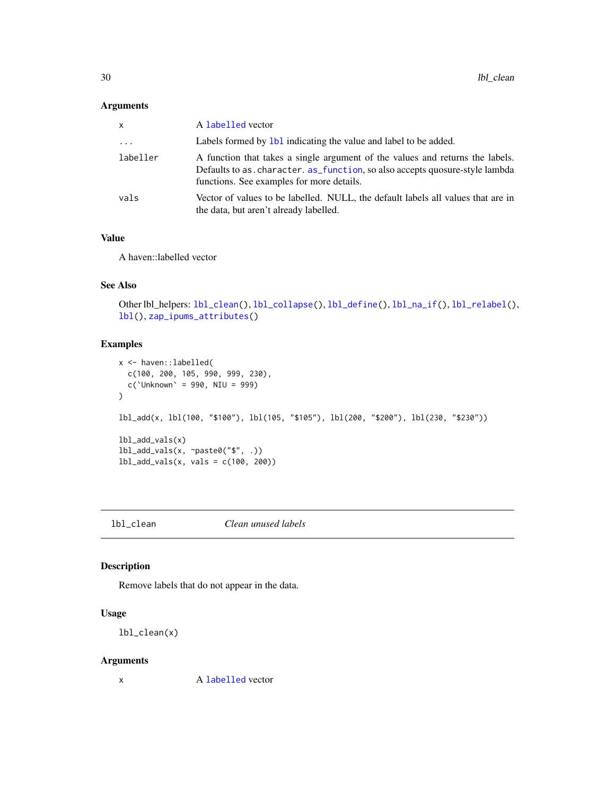# <span id="page-29-0"></span>Arguments

| X         | A labelled vector                                                                                                                                                                                          |
|-----------|------------------------------------------------------------------------------------------------------------------------------------------------------------------------------------------------------------|
| $\ddotsc$ | Labels formed by 1b1 indicating the value and label to be added.                                                                                                                                           |
| labeller  | A function that takes a single argument of the values and returns the labels.<br>Defaults to as. character. as_function, so also accepts quosure-style lambda<br>functions. See examples for more details. |
| vals      | Vector of values to be labelled. NULL, the default labels all values that are in<br>the data, but aren't already labelled.                                                                                 |

# Value

A haven::labelled vector

# See Also

```
Other lbl_helpers: lbl_clean(), lbl_collapse(), lbl_define(), lbl_na_if(), lbl_relabel(),
lbl(), zap_ipums_attributes()
```
# Examples

```
x <- haven::labelled(
  c(100, 200, 105, 990, 999, 230),
  c('Unknown' = 990, NIU = 999)\mathcal{L}lbl_add(x, lbl(100, "$100"), lbl(105, "$105"), lbl(200, "$200"), lbl(230, "$230"))
lbl_add_vals(x)
lbl_add_vals(x, ~paste0("$", .))
lbl_add_vals(x, vals = c(100, 200))
```
<span id="page-29-1"></span>lbl\_clean *Clean unused labels*

# Description

Remove labels that do not appear in the data.

# Usage

lbl\_clean(x)

# Arguments

x A [labelled](#page-0-0) vector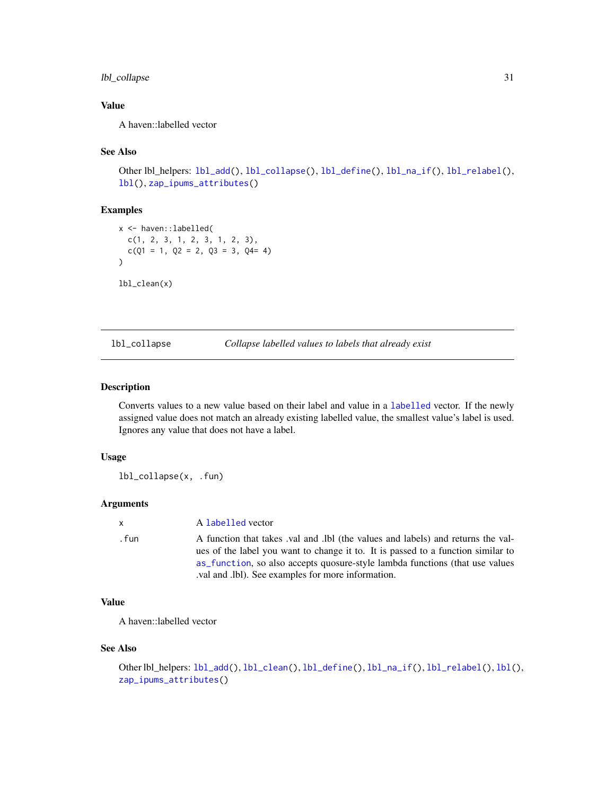# <span id="page-30-0"></span>lbl\_collapse 31

# Value

A haven::labelled vector

# See Also

```
lbl_add(lbl_collapse(lbl_define(lbl_na_if(lbl_relabel(),
lbl(), zap_ipums_attributes()
```
# Examples

```
x <- haven::labelled(
  c(1, 2, 3, 1, 2, 3, 1, 2, 3),
  c(Q1 = 1, Q2 = 2, Q3 = 3, Q4 = 4))
lbl_clean(x)
```
<span id="page-30-1"></span>lbl\_collapse *Collapse labelled values to labels that already exist*

# Description

Converts values to a new value based on their label and value in a [labelled](#page-0-0) vector. If the newly assigned value does not match an already existing labelled value, the smallest value's label is used. Ignores any value that does not have a label.

# Usage

lbl\_collapse(x, .fun)

# Arguments

| $\mathbf{x}$ | A labelled vector                                                                                                                                                                                                                                                                                        |
|--------------|----------------------------------------------------------------------------------------------------------------------------------------------------------------------------------------------------------------------------------------------------------------------------------------------------------|
| . fun        | A function that takes val and lbl (the values and labels) and returns the val-<br>ues of the label you want to change it to. It is passed to a function similar to<br>as function, so also accepts quosure-style lambda functions (that use values<br>.val and .lbl). See examples for more information. |

# Value

A haven::labelled vector

#### See Also

```
lbl_add(lbl_clean(lbl_define(lbl_na_if(lbl_relabel(lbl(),
zap_ipums_attributes()
```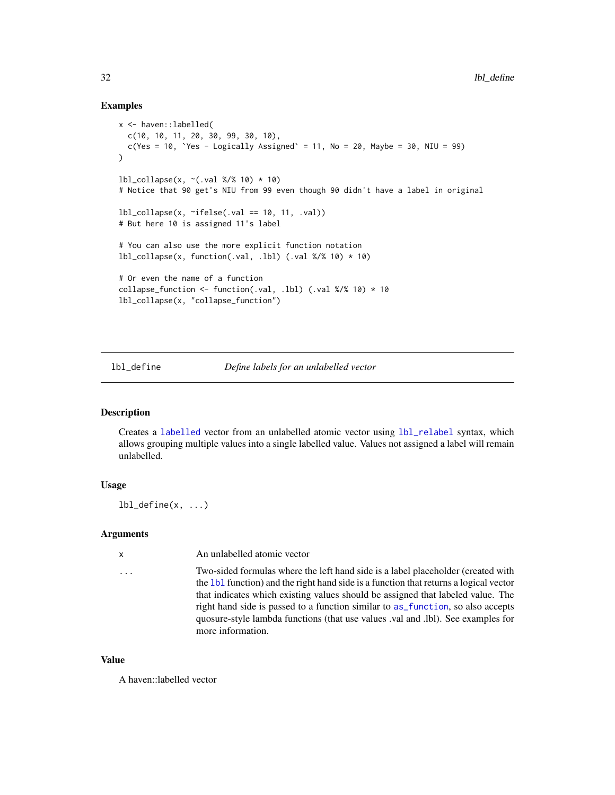#### Examples

```
x <- haven::labelled(
  c(10, 10, 11, 20, 30, 99, 30, 10),
  c(Yes = 10, Yes - Logically Associated' = 11, No = 20, Maybe = 30, NIU = 99))
1b1_{\text{collapse}}(x, \text{-(val } %10) * 10)# Notice that 90 get's NIU from 99 even though 90 didn't have a label in original
lbl_collapse(x, ~ifelse(.val == 10, 11, .val))
# But here 10 is assigned 11's label
# You can also use the more explicit function notation
lbl_{collapse}(x, function(.val, .lbl) (.val % 10) * 10)# Or even the name of a function
collapse_function <- function(.val, .lbl) (.val %/% 10) * 10
lbl_collapse(x, "collapse_function")
```
<span id="page-31-1"></span>lbl\_define *Define labels for an unlabelled vector*

# Description

Creates a [labelled](#page-0-0) vector from an unlabelled atomic vector using [lbl\\_relabel](#page-33-1) syntax, which allows grouping multiple values into a single labelled value. Values not assigned a label will remain unlabelled.

# Usage

 $lbl$ <sup>define(x, ...)</sup>

#### Arguments

| $\mathsf{x}$ | An unlabelled atomic vector                                                                                                                                                                                                                                                                                                                                                                                                                             |
|--------------|---------------------------------------------------------------------------------------------------------------------------------------------------------------------------------------------------------------------------------------------------------------------------------------------------------------------------------------------------------------------------------------------------------------------------------------------------------|
| .            | Two-sided formulas where the left hand side is a label placeholder (created with<br>the 1b1 function) and the right hand side is a function that returns a logical vector<br>that indicates which existing values should be assigned that labeled value. The<br>right hand side is passed to a function similar to as function, so also accepts<br>quosure-style lambda functions (that use values val and .lbl). See examples for<br>more information. |

#### Value

A haven::labelled vector

<span id="page-31-0"></span>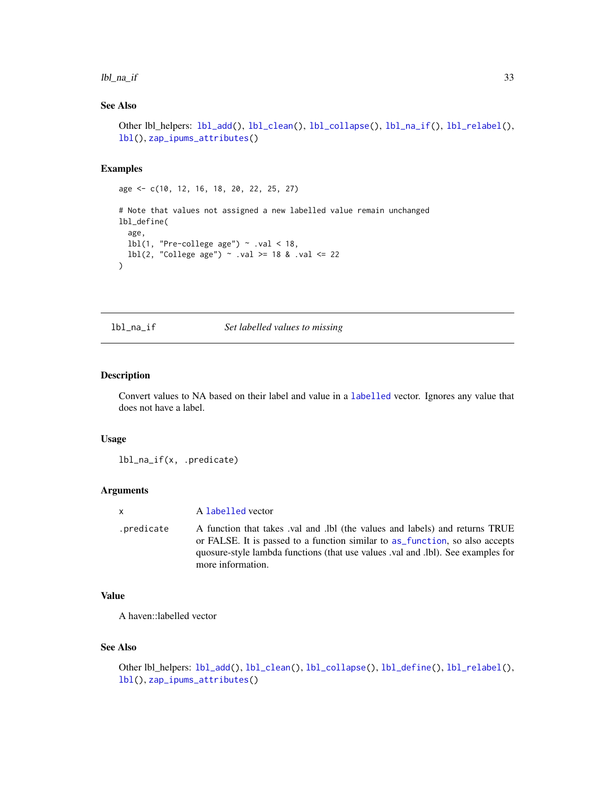#### <span id="page-32-0"></span>lbl\_na\_if 33

# See Also

```
Other lbl_helpers: lbl_add(), lbl_clean(), lbl_collapse(), lbl_na_if(), lbl_relabel(),
lbl(), zap_ipums_attributes()
```
#### Examples

age <- c(10, 12, 16, 18, 20, 22, 25, 27)

```
# Note that values not assigned a new labelled value remain unchanged
lbl_define(
  age,
  lbl(1, "Pre-college age") \sim .val < 18,
  1bl(2, "College age") ~ .val >= 18 & .val <= 22
)
```
<span id="page-32-1"></span>lbl\_na\_if *Set labelled values to missing*

# Description

Convert values to NA based on their label and value in a [labelled](#page-0-0) vector. Ignores any value that does not have a label.

#### Usage

lbl\_na\_if(x, .predicate)

# Arguments

| $\mathsf{x}$ | A labelled vector                                                                                                                                                                                                                                                  |
|--------------|--------------------------------------------------------------------------------------------------------------------------------------------------------------------------------------------------------------------------------------------------------------------|
| .predicate   | A function that takes val and lbl (the values and labels) and returns TRUE<br>or FALSE. It is passed to a function similar to as function, so also accepts<br>quosure-style lambda functions (that use values val and .lbl). See examples for<br>more information. |

# Value

A haven::labelled vector

# See Also

```
lbl_add(lbl_clean(lbl_collapse(lbl_define(lbl_relabel(),
lbl(), zap_ipums_attributes()
```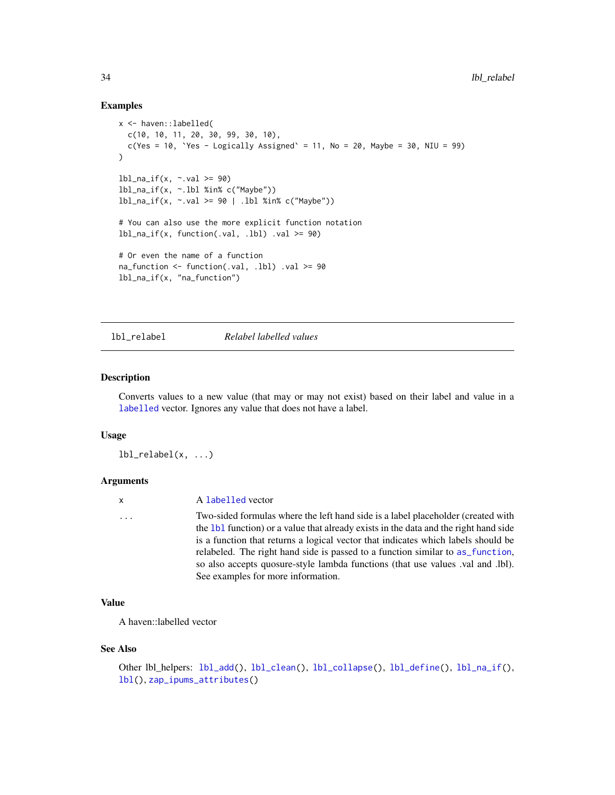#### Examples

```
x <- haven::labelled(
  c(10, 10, 11, 20, 30, 99, 30, 10),
  c(Yes = 10, Yes - Logically Associated' = 11, No = 20, Maybe = 30, NIU = 99)\lambdalbl_na_if(x, \sim val \ge 90)lbl_na_if(x, ~.lbl %in% c("Maybe"))
lbl_na_if(x, ~.val >= 90 | .lbl %in% c("Maybe"))# You can also use the more explicit function notation
lbl_na_if(x, function(.val, .lbl) .val >= 90)# Or even the name of a function
na_function \le function(.val, .lbl) .val \ge 90
lbl_na_if(x, "na_function")
```
<span id="page-33-1"></span>lbl\_relabel *Relabel labelled values*

#### Description

Converts values to a new value (that may or may not exist) based on their label and value in a [labelled](#page-0-0) vector. Ignores any value that does not have a label.

# Usage

lbl\_relabel(x, ...)

#### **Arguments**

# ... Two-sided formulas where the left hand side is a label placeholder (created with the [lbl](#page-28-2) function) or a value that already exists in the data and the right hand side is a function that returns a logical vector that indicates which labels should be relabeled. The right hand side is passed to a function similar to [as\\_function](#page-0-0), so also accepts quosure-style lambda functions (that use values .val and .lbl). See examples for more information.

# Value

A haven::labelled vector

#### See Also

```
Other lbl_helpers: lbl_add(), lbl_clean(), lbl_collapse(), lbl_define(), lbl_na_if(),
lbl(), zap_ipums_attributes()
```
<span id="page-33-0"></span>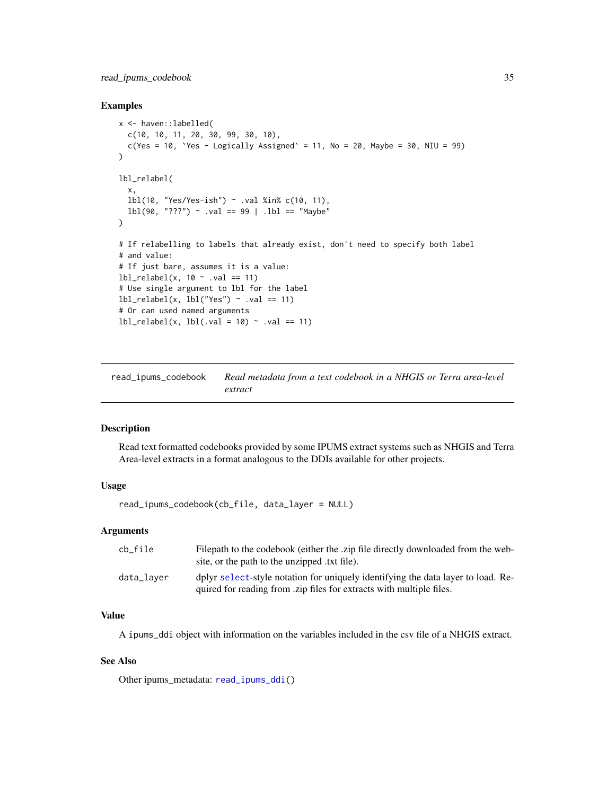# <span id="page-34-0"></span>read\_ipums\_codebook 35

#### Examples

```
x <- haven::labelled(
  c(10, 10, 11, 20, 30, 99, 30, 10),
  c(Yes = 10, Yes - Logically Associated' = 11, No = 20, Maybe = 30, NIU = 99)\lambdalbl_relabel(
  x,
  lbl(10, "Yes/Yes-ish") ~ .val %in% c(10, 11),
  lbl(90, "???") ~ .val == 99 | .lbl == "Maybe"
)
# If relabelling to labels that already exist, don't need to specify both label
# and value:
# If just bare, assumes it is a value:
lbl_{relabel}(x, 10 \sim .val == 11)# Use single argument to lbl for the label
lbL_{relabel}(x, lbl("Yes") \sim val == 11)# Or can used named arguments
lbl_{relabel}(x, lbl(.val = 10) \sim val == 11)
```
<span id="page-34-1"></span>read\_ipums\_codebook *Read metadata from a text codebook in a NHGIS or Terra area-level extract*

#### Description

Read text formatted codebooks provided by some IPUMS extract systems such as NHGIS and Terra Area-level extracts in a format analogous to the DDIs available for other projects.

# Usage

read\_ipums\_codebook(cb\_file, data\_layer = NULL)

# Arguments

| cb file    | Filepath to the codebook (either the .zip file directly downloaded from the web-<br>site, or the path to the unzipped txt file).                         |
|------------|----------------------------------------------------------------------------------------------------------------------------------------------------------|
| data_laver | dplyr select-style notation for uniquely identifying the data layer to load. Re-<br>quired for reading from .zip files for extracts with multiple files. |

# Value

A ipums\_ddi object with information on the variables included in the csv file of a NHGIS extract.

#### See Also

Other ipums\_metadata: [read\\_ipums\\_ddi\(](#page-35-1))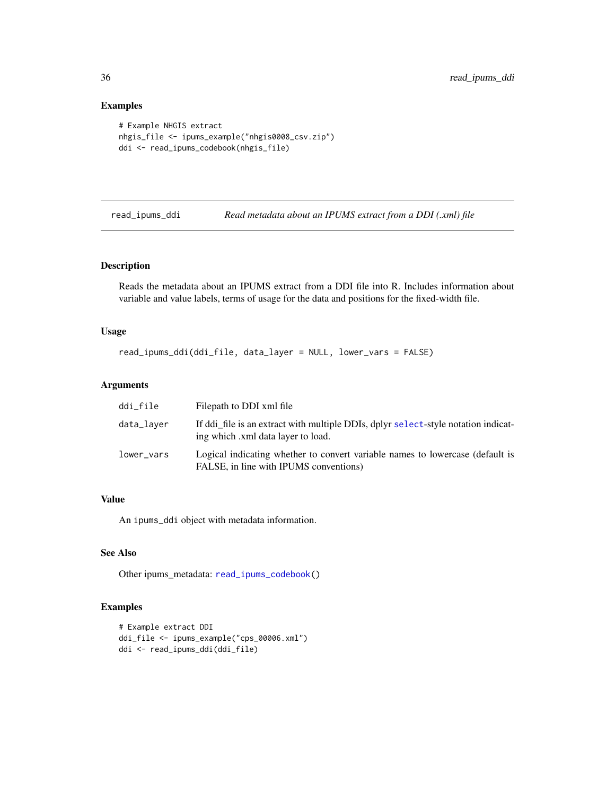# Examples

```
# Example NHGIS extract
nhgis_file <- ipums_example("nhgis0008_csv.zip")
ddi <- read_ipums_codebook(nhgis_file)
```
<span id="page-35-1"></span>

read\_ipums\_ddi *Read metadata about an IPUMS extract from a DDI (.xml) file*

# Description

Reads the metadata about an IPUMS extract from a DDI file into R. Includes information about variable and value labels, terms of usage for the data and positions for the fixed-width file.

# Usage

```
read_ipums_ddi(ddi_file, data_layer = NULL, lower_vars = FALSE)
```
#### Arguments

| ddi_file   | Filepath to DDI xml file                                                                                                 |
|------------|--------------------------------------------------------------------------------------------------------------------------|
| data_laver | If ddi file is an extract with multiple DDIs, dplyr select-style notation indicat-<br>ing which .xml data layer to load. |
| lower_vars | Logical indicating whether to convert variable names to lowercase (default is<br>FALSE, in line with IPUMS conventions)  |

# Value

An ipums\_ddi object with metadata information.

# See Also

Other ipums\_metadata: [read\\_ipums\\_codebook\(](#page-34-1))

# Examples

```
# Example extract DDI
ddi_file <- ipums_example("cps_00006.xml")
ddi <- read_ipums_ddi(ddi_file)
```
<span id="page-35-0"></span>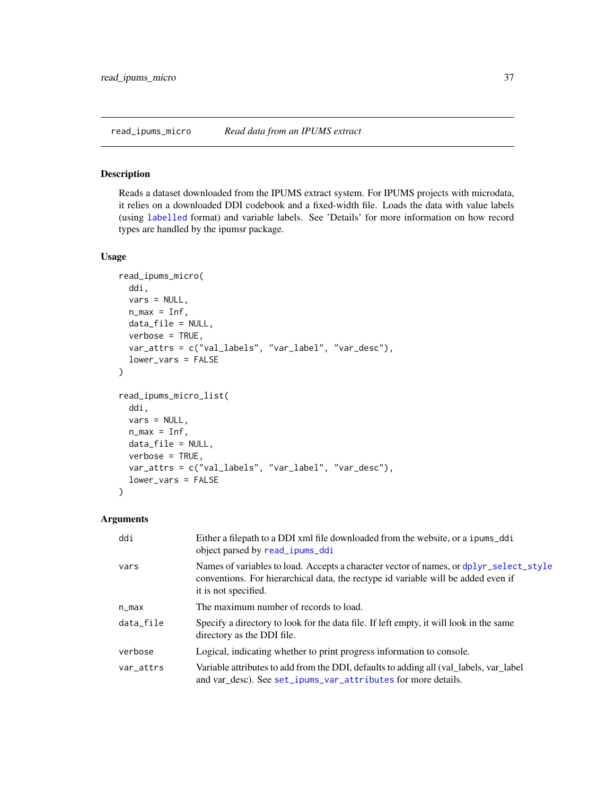#### <span id="page-36-1"></span><span id="page-36-0"></span>Description

Reads a dataset downloaded from the IPUMS extract system. For IPUMS projects with microdata, it relies on a downloaded DDI codebook and a fixed-width file. Loads the data with value labels (using [labelled](#page-0-0) format) and variable labels. See 'Details' for more information on how record types are handled by the ipumsr package.

#### Usage

```
read_ipums_micro(
  ddi,
 vars = NULL,n_{max} = Inf,data_file = NULL,
 verbose = TRUE,
  var_attrs = c("val_labels", "var_label", "var_desc"),
  lower_vars = FALSE
)
read_ipums_micro_list(
  ddi,
  vars = NULL,
 n_{max} = Inf,
 data_file = NULL,
 verbose = TRUE,
 var_attrs = c("val_labels", "var_label", "var_desc"),
  lower_vars = FALSE
)
```
# Arguments

| ddi       | Either a filepath to a DDI xml file downloaded from the website, or a ipums_ddi<br>object parsed by read_ipums_ddi                                                                                  |
|-----------|-----------------------------------------------------------------------------------------------------------------------------------------------------------------------------------------------------|
| vars      | Names of variables to load. Accepts a character vector of names, or dplyr_select_style<br>conventions. For hierarchical data, the rectype id variable will be added even if<br>it is not specified. |
| n_max     | The maximum number of records to load.                                                                                                                                                              |
| data_file | Specify a directory to look for the data file. If left empty, it will look in the same<br>directory as the DDI file.                                                                                |
| verbose   | Logical, indicating whether to print progress information to console.                                                                                                                               |
| var_attrs | Variable attributes to add from the DDI, defaults to adding all (val_labels, var_label)<br>and var_desc). See set_ipums_var_attributes for more details.                                            |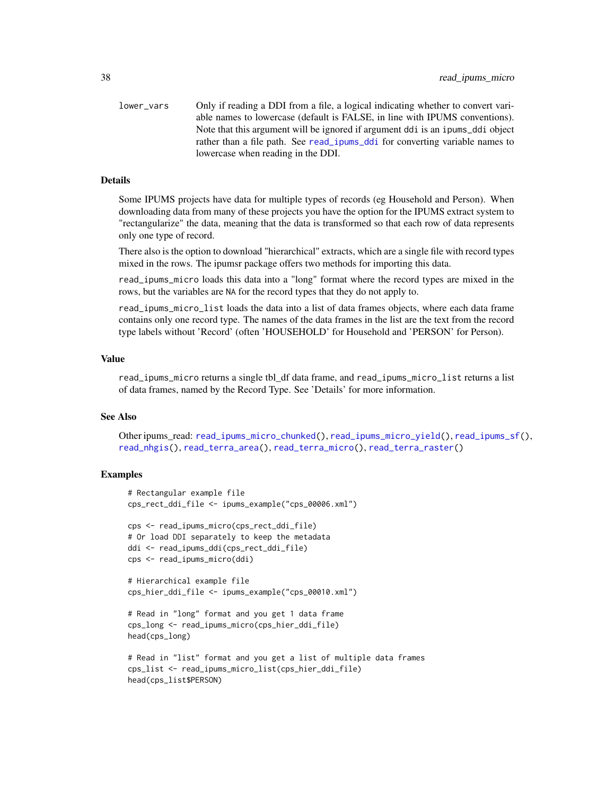<span id="page-37-0"></span>lower\_vars Only if reading a DDI from a file, a logical indicating whether to convert variable names to lowercase (default is FALSE, in line with IPUMS conventions). Note that this argument will be ignored if argument ddi is an ipums\_ddi object rather than a file path. See [read\\_ipums\\_ddi](#page-35-1) for converting variable names to lowercase when reading in the DDI.

#### Details

Some IPUMS projects have data for multiple types of records (eg Household and Person). When downloading data from many of these projects you have the option for the IPUMS extract system to "rectangularize" the data, meaning that the data is transformed so that each row of data represents only one type of record.

There also is the option to download "hierarchical" extracts, which are a single file with record types mixed in the rows. The ipumsr package offers two methods for importing this data.

read\_ipums\_micro loads this data into a "long" format where the record types are mixed in the rows, but the variables are NA for the record types that they do not apply to.

read\_ipums\_micro\_list loads the data into a list of data frames objects, where each data frame contains only one record type. The names of the data frames in the list are the text from the record type labels without 'Record' (often 'HOUSEHOLD' for Household and 'PERSON' for Person).

# Value

read\_ipums\_micro returns a single tbl\_df data frame, and read\_ipums\_micro\_list returns a list of data frames, named by the Record Type. See 'Details' for more information.

#### See Also

Other ipums\_read: [read\\_ipums\\_micro\\_chunked\(](#page-38-1)), [read\\_ipums\\_micro\\_yield\(](#page-40-1)), [read\\_ipums\\_sf\(](#page-43-1)), [read\\_nhgis\(](#page-45-1)), [read\\_terra\\_area\(](#page-47-1)), [read\\_terra\\_micro\(](#page-49-1)), [read\\_terra\\_raster\(](#page-50-1))

# **Examples**

```
# Rectangular example file
cps_rect_ddi_file <- ipums_example("cps_00006.xml")
cps <- read_ipums_micro(cps_rect_ddi_file)
# Or load DDI separately to keep the metadata
ddi <- read_ipums_ddi(cps_rect_ddi_file)
cps <- read_ipums_micro(ddi)
# Hierarchical example file
cps_hier_ddi_file <- ipums_example("cps_00010.xml")
# Read in "long" format and you get 1 data frame
cps_long <- read_ipums_micro(cps_hier_ddi_file)
head(cps_long)
# Read in "list" format and you get a list of multiple data frames
cps_list <- read_ipums_micro_list(cps_hier_ddi_file)
head(cps_list$PERSON)
```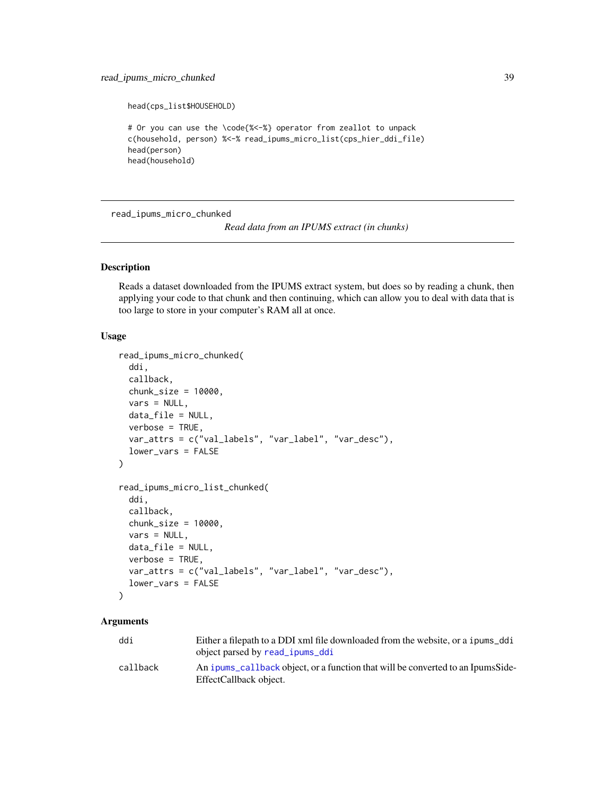# <span id="page-38-0"></span>read\_ipums\_micro\_chunked 39

head(cps\_list\$HOUSEHOLD)

```
# Or you can use the \code{%<-%} operator from zeallot to unpack
c(household, person) %<-% read_ipums_micro_list(cps_hier_ddi_file)
head(person)
head(household)
```
<span id="page-38-1"></span>read\_ipums\_micro\_chunked

*Read data from an IPUMS extract (in chunks)*

#### Description

Reads a dataset downloaded from the IPUMS extract system, but does so by reading a chunk, then applying your code to that chunk and then continuing, which can allow you to deal with data that is too large to store in your computer's RAM all at once.

#### Usage

```
read_ipums_micro_chunked(
  ddi,
  callback,
  chunk_size = 10000,vars = NULL,
 data_file = NULL,
 verbose = TRUE,
  var_attrs = c("val_labels", "var_label", "var_desc"),
  lower_vars = FALSE
)
read_ipums_micro_list_chunked(
  ddi,
  callback,
  chunk_size = 10000,vars = NULL,
  data_file = NULL,
 verbose = TRUE,
 var_attrs = c("val_labels", "var_label", "var_desc"),
  lower_vars = FALSE
)
```
# Arguments

| ddi      | Either a filepath to a DDI xml file downloaded from the website, or a ipums_ddi                                     |
|----------|---------------------------------------------------------------------------------------------------------------------|
| callback | object parsed by read _ipums_ddi<br>An ipums callback object, or a function that will be converted to an IpumsSide- |
|          | EffectCallback object.                                                                                              |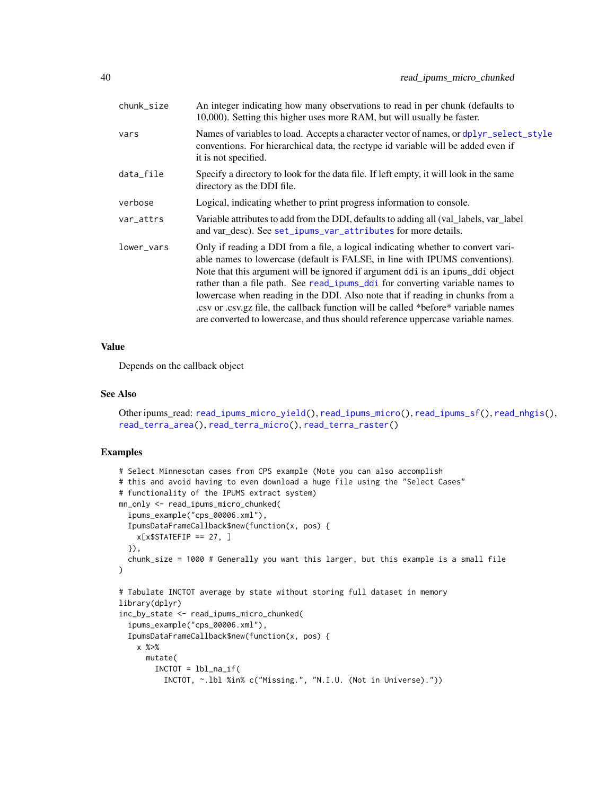<span id="page-39-0"></span>

| chunk_size | An integer indicating how many observations to read in per chunk (defaults to<br>10,000). Setting this higher uses more RAM, but will usually be faster.                                                                                                                                                                                                                                                                                                                                                                                                                                    |
|------------|---------------------------------------------------------------------------------------------------------------------------------------------------------------------------------------------------------------------------------------------------------------------------------------------------------------------------------------------------------------------------------------------------------------------------------------------------------------------------------------------------------------------------------------------------------------------------------------------|
| vars       | Names of variables to load. Accepts a character vector of names, or dplyr_select_style<br>conventions. For hierarchical data, the rectype id variable will be added even if<br>it is not specified.                                                                                                                                                                                                                                                                                                                                                                                         |
| data_file  | Specify a directory to look for the data file. If left empty, it will look in the same<br>directory as the DDI file.                                                                                                                                                                                                                                                                                                                                                                                                                                                                        |
| verbose    | Logical, indicating whether to print progress information to console.                                                                                                                                                                                                                                                                                                                                                                                                                                                                                                                       |
| var_attrs  | Variable attributes to add from the DDI, defaults to adding all (val_labels, var_label)<br>and var_desc). See set_ipums_var_attributes for more details.                                                                                                                                                                                                                                                                                                                                                                                                                                    |
| lower_vars | Only if reading a DDI from a file, a logical indicating whether to convert vari-<br>able names to lowercase (default is FALSE, in line with IPUMS conventions).<br>Note that this argument will be ignored if argument ddi is an ipums_ddi object<br>rather than a file path. See read_ipums_ddi for converting variable names to<br>lowercase when reading in the DDI. Also note that if reading in chunks from a<br>.csv or .csv.gz file, the callback function will be called *before* variable names<br>are converted to lowercase, and thus should reference uppercase variable names. |

# Value

Depends on the callback object

#### See Also

Other ipums\_read: [read\\_ipums\\_micro\\_yield\(](#page-40-1)), [read\\_ipums\\_micro\(](#page-36-1)), [read\\_ipums\\_sf\(](#page-43-1)), [read\\_nhgis\(](#page-45-1)), [read\\_terra\\_area\(](#page-47-1)), [read\\_terra\\_micro\(](#page-49-1)), [read\\_terra\\_raster\(](#page-50-1))

# Examples

```
# Select Minnesotan cases from CPS example (Note you can also accomplish
# this and avoid having to even download a huge file using the "Select Cases"
# functionality of the IPUMS extract system)
mn_only <- read_ipums_micro_chunked(
  ipums_example("cps_00006.xml"),
  IpumsDataFrameCallback$new(function(x, pos) {
   x[x$STATEFIP == 27, ]}),
  chunk_size = 1000 # Generally you want this larger, but this example is a small file
)
# Tabulate INCTOT average by state without storing full dataset in memory
library(dplyr)
inc_by_state <- read_ipums_micro_chunked(
  ipums_example("cps_00006.xml"),
  IpumsDataFrameCallback$new(function(x, pos) {
   x %>%
     mutate(
       INCTOT = 1b1_na_if(INCTOT, ~.lbl %in% c("Missing.", "N.I.U. (Not in Universe)."))
```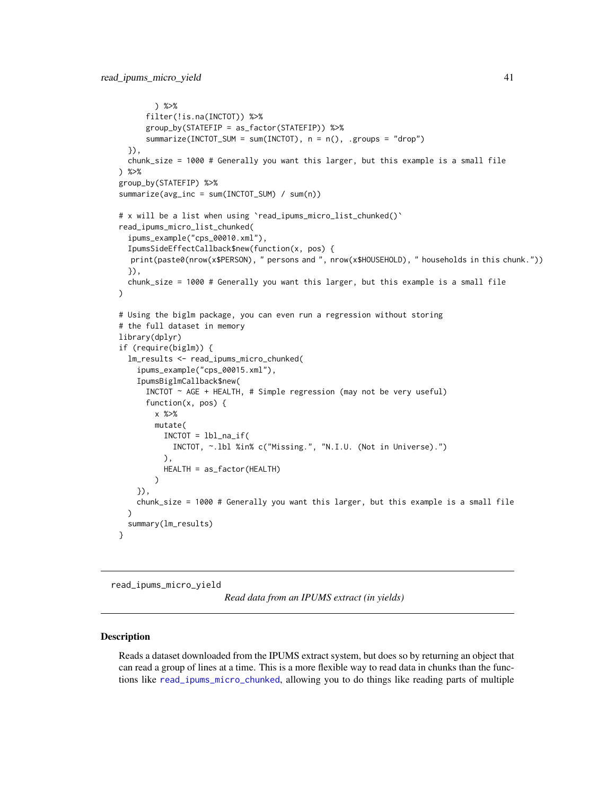```
) %>%
      filter(!is.na(INCTOT)) %>%
      group_by(STATEFIP = as_factor(STATEFIP)) %>%
      summarize(INCTOT_SUM = sum(INCTOT), n = n(), .groups = "drop")
  }),
  chunk_size = 1000 # Generally you want this larger, but this example is a small file
) %>%
group_by(STATEFIP) %>%
summarize(avg_inc = sum(INCTOT_SUM) / sum(n))
# x will be a list when using `read_ipums_micro_list_chunked()`
read_ipums_micro_list_chunked(
  ipums_example("cps_00010.xml"),
  IpumsSideEffectCallback$new(function(x, pos) {
  print(paste0(nrow(x$PERSON), " persons and ", nrow(x$HOUSEHOLD), " households in this chunk."))
  }),
  chunk_size = 1000 # Generally you want this larger, but this example is a small file
)
# Using the biglm package, you can even run a regression without storing
# the full dataset in memory
library(dplyr)
if (require(biglm)) {
  lm_results <- read_ipums_micro_chunked(
    ipums_example("cps_00015.xml"),
    IpumsBiglmCallback$new(
      INCTOT \sim AGE + HEALTH, # Simple regression (may not be very useful)
      function(x, pos) {
        x %>%
        mutate(
          INCTOT = lbl_na_if(INCTOT, ~.lbl %in% c("Missing.", "N.I.U. (Not in Universe).")
          ),
          HEALTH = as_factor(HEALTH)
        \lambda}),
    chunk_size = 1000 # Generally you want this larger, but this example is a small file
  \lambdasummary(lm_results)
}
```
<span id="page-40-1"></span>read\_ipums\_micro\_yield

*Read data from an IPUMS extract (in yields)*

#### **Description**

Reads a dataset downloaded from the IPUMS extract system, but does so by returning an object that can read a group of lines at a time. This is a more flexible way to read data in chunks than the functions like [read\\_ipums\\_micro\\_chunked](#page-38-1), allowing you to do things like reading parts of multiple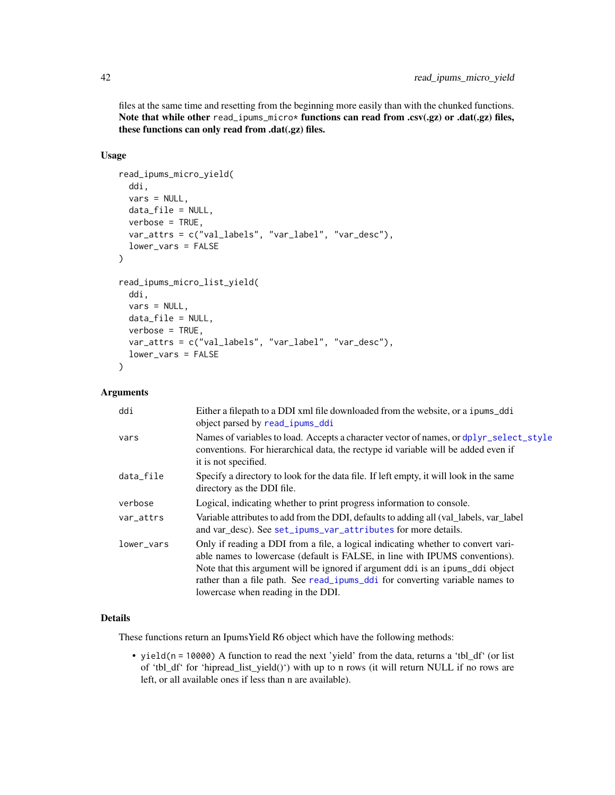files at the same time and resetting from the beginning more easily than with the chunked functions. Note that while other read\_ipums\_micro\* functions can read from .csv(.gz) or .dat(.gz) files, these functions can only read from .dat(.gz) files.

# Usage

```
read_ipums_micro_yield(
  ddi,
 vars = NULL,
 data_file = NULL,
 verbose = TRUE,
 var_attrs = c("val_labels", "var_label", "var_desc"),
  lower_vars = FALSE
)
read_ipums_micro_list_yield(
  ddi,
  vars = NULL,
 data_file = NULL,
 verbose = TRUE,
 var_attrs = c("val_labels", "var_label", "var_desc"),
  lower_vars = FALSE
)
```
# Arguments

| ddi        | Either a filepath to a DDI xml file downloaded from the website, or a ipums_ddi<br>object parsed by read_ipums_ddi                                                                                                                                                                                                                                                      |
|------------|-------------------------------------------------------------------------------------------------------------------------------------------------------------------------------------------------------------------------------------------------------------------------------------------------------------------------------------------------------------------------|
| vars       | Names of variables to load. Accepts a character vector of names, or dplyr_select_style<br>conventions. For hierarchical data, the rectype id variable will be added even if<br>it is not specified.                                                                                                                                                                     |
| data_file  | Specify a directory to look for the data file. If left empty, it will look in the same<br>directory as the DDI file.                                                                                                                                                                                                                                                    |
| verbose    | Logical, indicating whether to print progress information to console.                                                                                                                                                                                                                                                                                                   |
| var_attrs  | Variable attributes to add from the DDI, defaults to adding all (val_labels, var_label)<br>and var_desc). See set_ipums_var_attributes for more details.                                                                                                                                                                                                                |
| lower_vars | Only if reading a DDI from a file, a logical indicating whether to convert vari-<br>able names to lowercase (default is FALSE, in line with IPUMS conventions).<br>Note that this argument will be ignored if argument ddi is an ipums_ddi object<br>rather than a file path. See read_ipums_ddi for converting variable names to<br>lowercase when reading in the DDI. |

# Details

These functions return an IpumsYield R6 object which have the following methods:

• yield(n = 10000) A function to read the next 'yield' from the data, returns a 'tbl\_df' (or list of 'tbl\_df' for 'hipread\_list\_yield()') with up to n rows (it will return NULL if no rows are left, or all available ones if less than n are available).

<span id="page-41-0"></span>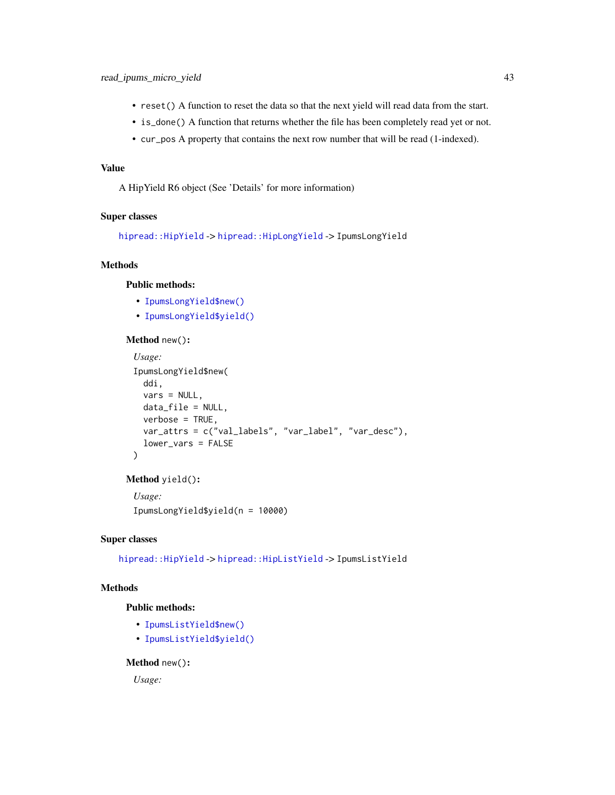- <span id="page-42-3"></span>• reset() A function to reset the data so that the next yield will read data from the start.
- is\_done() A function that returns whether the file has been completely read yet or not.
- cur\_pos A property that contains the next row number that will be read (1-indexed).

# Value

A HipYield R6 object (See 'Details' for more information)

#### Super classes

[hipread::HipYield](#page-0-0) -> [hipread::HipLongYield](#page-0-0) -> IpumsLongYield

# Methods

# Public methods:

- [IpumsLongYield\\$new\(\)](#page-42-0)
- [IpumsLongYield\\$yield\(\)](#page-42-1)

#### <span id="page-42-0"></span>Method new():

```
Usage:
IpumsLongYield$new(
 ddi,
 vars = NULL,
 data_file = NULL,
 verbose = TRUE,
 var_attrs = c("val_labels", "var_label", "var_desc"),
 lower_vars = FALSE
\mathcal{L}
```
#### <span id="page-42-1"></span>Method yield():

```
Usage:
IpumsLongYield$yield(n = 10000)
```
# Super classes

[hipread::HipYield](#page-0-0) -> [hipread::HipListYield](#page-0-0) -> IpumsListYield

# Methods

# Public methods:

- [IpumsListYield\\$new\(\)](#page-42-2)
- [IpumsListYield\\$yield\(\)](#page-43-2)

# <span id="page-42-2"></span>Method new():

*Usage:*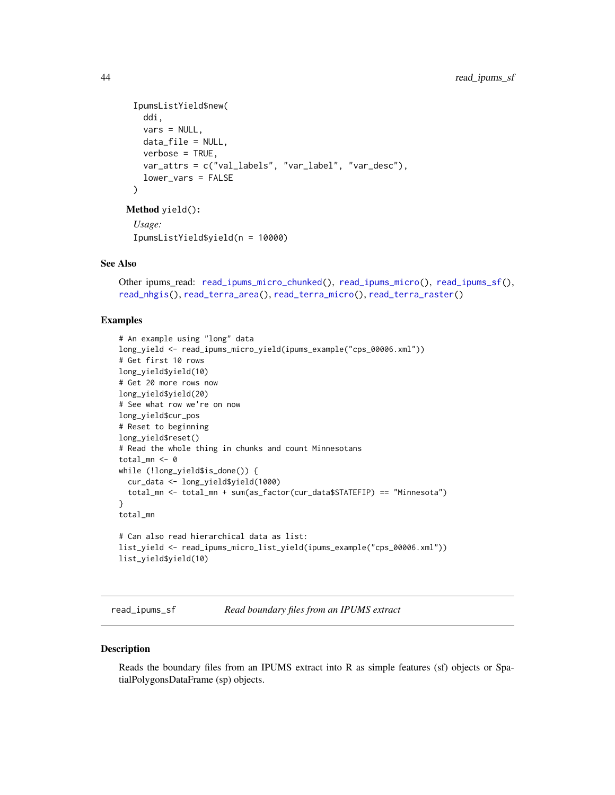```
IpumsListYield$new(
   ddi,
   vars = NULL,
   data_file = NULL,
   verbose = TRUE,
   var_attrs = c("val_labels", "var_label", "var_desc"),
   lower_vars = FALSE
 \lambdaMethod yield():
 Usage:
```

```
IpumsListYield$yield(n = 10000)
```
# See Also

```
Other ipums_read: read_ipums_micro_chunked(), read_ipums_micro(), read_ipums_sf(),
read_nhgis(), read_terra_area(), read_terra_micro(), read_terra_raster()
```
# Examples

```
# An example using "long" data
long_yield <- read_ipums_micro_yield(ipums_example("cps_00006.xml"))
# Get first 10 rows
long_yield$yield(10)
# Get 20 more rows now
long_yield$yield(20)
# See what row we're on now
long_yield$cur_pos
# Reset to beginning
long_yield$reset()
# Read the whole thing in chunks and count Minnesotans
total_mn <- 0
while (!long_yield$is_done()) {
  cur_data <- long_yield$yield(1000)
  total_mn <- total_mn + sum(as_factor(cur_data$STATEFIP) == "Minnesota")
}
total_mn
# Can also read hierarchical data as list:
list_yield <- read_ipums_micro_list_yield(ipums_example("cps_00006.xml"))
list_yield$yield(10)
```
<span id="page-43-1"></span>read\_ipums\_sf *Read boundary files from an IPUMS extract*

#### <span id="page-43-3"></span>Description

Reads the boundary files from an IPUMS extract into R as simple features (sf) objects or SpatialPolygonsDataFrame (sp) objects.

<span id="page-43-0"></span>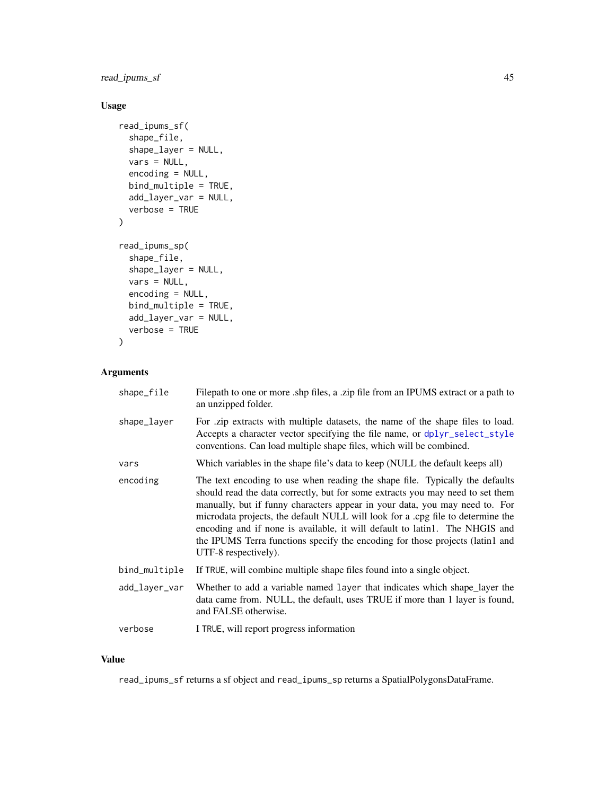<span id="page-44-0"></span>read\_ipums\_sf 45

# Usage

```
read_ipums_sf(
  shape_file,
  shape_layer = NULL,
 vars = NULL,
  encoding = NULL,
 bind_multiple = TRUE,
  add_layer_var = NULL,
  verbose = TRUE
)
read_ipums_sp(
  shape_file,
  shape_layer = NULL,
  vars = NULL,
  encoding = NULL,
 bind_multiple = TRUE,
  add_layer_var = NULL,
  verbose = TRUE
\mathcal{L}
```
# Arguments

| shape_file    | Filepath to one or more shp files, a zip file from an IPUMS extract or a path to<br>an unzipped folder.                                                                                                                                                                                                                                                                                                                                                                                                                  |
|---------------|--------------------------------------------------------------------------------------------------------------------------------------------------------------------------------------------------------------------------------------------------------------------------------------------------------------------------------------------------------------------------------------------------------------------------------------------------------------------------------------------------------------------------|
| shape_layer   | For .zip extracts with multiple datasets, the name of the shape files to load.<br>Accepts a character vector specifying the file name, or dplyr_select_style<br>conventions. Can load multiple shape files, which will be combined.                                                                                                                                                                                                                                                                                      |
| vars          | Which variables in the shape file's data to keep (NULL the default keeps all)                                                                                                                                                                                                                                                                                                                                                                                                                                            |
| encoding      | The text encoding to use when reading the shape file. Typically the defaults<br>should read the data correctly, but for some extracts you may need to set them<br>manually, but if funny characters appear in your data, you may need to. For<br>microdata projects, the default NULL will look for a .cpg file to determine the<br>encoding and if none is available, it will default to latin1. The NHGIS and<br>the IPUMS Terra functions specify the encoding for those projects (latin1 and<br>UTF-8 respectively). |
| bind_multiple | If TRUE, will combine multiple shape files found into a single object.                                                                                                                                                                                                                                                                                                                                                                                                                                                   |
| add_layer_var | Whether to add a variable named layer that indicates which shape_layer the<br>data came from. NULL, the default, uses TRUE if more than 1 layer is found,<br>and FALSE otherwise.                                                                                                                                                                                                                                                                                                                                        |
| verbose       | I TRUE, will report progress information                                                                                                                                                                                                                                                                                                                                                                                                                                                                                 |

# Value

read\_ipums\_sf returns a sf object and read\_ipums\_sp returns a SpatialPolygonsDataFrame.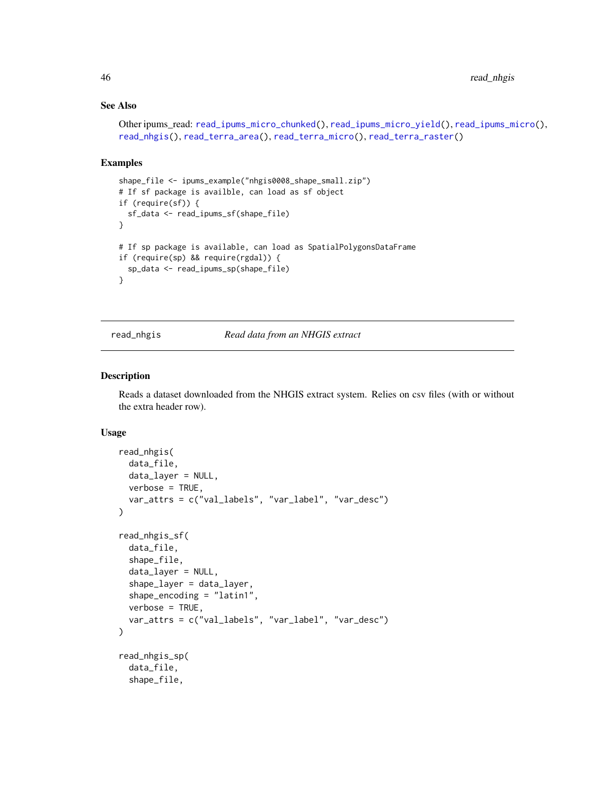# See Also

```
Other ipums_read: read_ipums_micro_chunked(), read_ipums_micro_yield(), read_ipums_micro(),
read_nhgis(), read_terra_area(), read_terra_micro(), read_terra_raster()
```
#### Examples

```
shape_file <- ipums_example("nhgis0008_shape_small.zip")
# If sf package is availble, can load as sf object
if (require(sf)) {
 sf_data <- read_ipums_sf(shape_file)
}
# If sp package is available, can load as SpatialPolygonsDataFrame
if (require(sp) && require(rgdal)) {
 sp_data <- read_ipums_sp(shape_file)
}
```
<span id="page-45-1"></span>read\_nhgis *Read data from an NHGIS extract*

#### Description

Reads a dataset downloaded from the NHGIS extract system. Relies on csv files (with or without the extra header row).

# Usage

```
read_nhgis(
 data_file,
 data_layer = NULL,
 verbose = TRUE,
 var_attrs = c("val_labels", "var_label", "var_desc")
\mathcal{L}read_nhgis_sf(
  data_file,
  shape_file,
  data_layer = NULL,
  shape_layer = data_layer,
  shape_encoding = "latin1",
  verbose = TRUE,
  var_attrs = c("val_labels", "var_label", "var_desc")
\lambdaread_nhgis_sp(
  data_file,
  shape_file,
```
<span id="page-45-0"></span>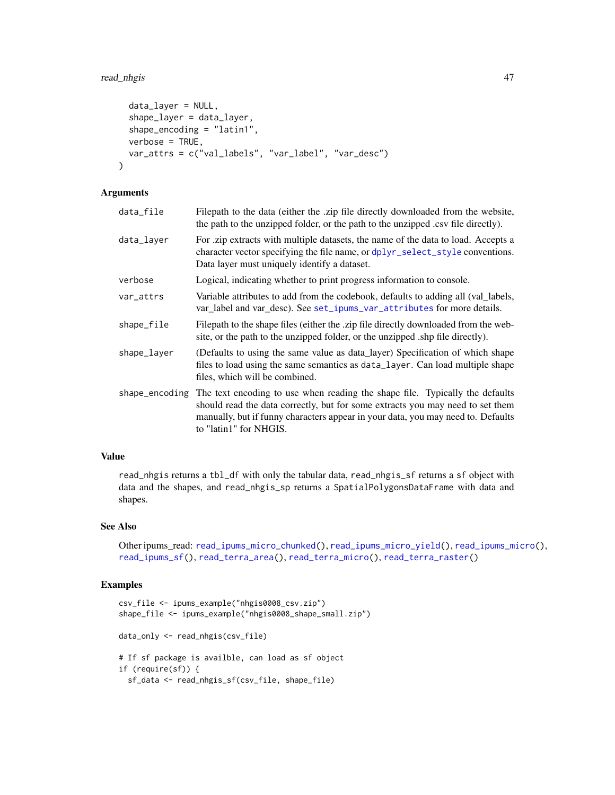# <span id="page-46-0"></span>read\_nhgis 47

```
data_layer = NULL,
  shape_layer = data_layer,
  shape_encoding = "latin1",
 verbose = TRUE,
 var_attrs = c("val_labels", "var_label", "var_desc")
)
```
# **Arguments**

| data_file      | Filepath to the data (either the .zip file directly downloaded from the website,<br>the path to the unzipped folder, or the path to the unzipped .csv file directly).                                                                                                        |
|----------------|------------------------------------------------------------------------------------------------------------------------------------------------------------------------------------------------------------------------------------------------------------------------------|
| data_layer     | For zip extracts with multiple datasets, the name of the data to load. Accepts a<br>character vector specifying the file name, or dplyr_select_style conventions.<br>Data layer must uniquely identify a dataset.                                                            |
| verbose        | Logical, indicating whether to print progress information to console.                                                                                                                                                                                                        |
| var_attrs      | Variable attributes to add from the codebook, defaults to adding all (val_labels,<br>var_label and var_desc). See set_ipums_var_attributes for more details.                                                                                                                 |
| shape_file     | Filepath to the shape files (either the .zip file directly downloaded from the web-<br>site, or the path to the unzipped folder, or the unzipped ship file directly).                                                                                                        |
| shape_layer    | (Defaults to using the same value as data_layer) Specification of which shape<br>files to load using the same semantics as data_layer. Can load multiple shape<br>files, which will be combined.                                                                             |
| shape_encoding | The text encoding to use when reading the shape file. Typically the defaults<br>should read the data correctly, but for some extracts you may need to set them<br>manually, but if funny characters appear in your data, you may need to. Defaults<br>to "latin1" for NHGIS. |

#### Value

read\_nhgis returns a tbl\_df with only the tabular data, read\_nhgis\_sf returns a sf object with data and the shapes, and read\_nhgis\_sp returns a SpatialPolygonsDataFrame with data and shapes.

# See Also

Other ipums\_read: [read\\_ipums\\_micro\\_chunked\(](#page-38-1)), [read\\_ipums\\_micro\\_yield\(](#page-40-1)), [read\\_ipums\\_micro\(](#page-36-1)), [read\\_ipums\\_sf\(](#page-43-1)), [read\\_terra\\_area\(](#page-47-1)), [read\\_terra\\_micro\(](#page-49-1)), [read\\_terra\\_raster\(](#page-50-1))

#### Examples

```
csv_file <- ipums_example("nhgis0008_csv.zip")
shape_file <- ipums_example("nhgis0008_shape_small.zip")
data_only <- read_nhgis(csv_file)
# If sf package is availble, can load as sf object
if (require(sf)) {
  sf_data <- read_nhgis_sf(csv_file, shape_file)
```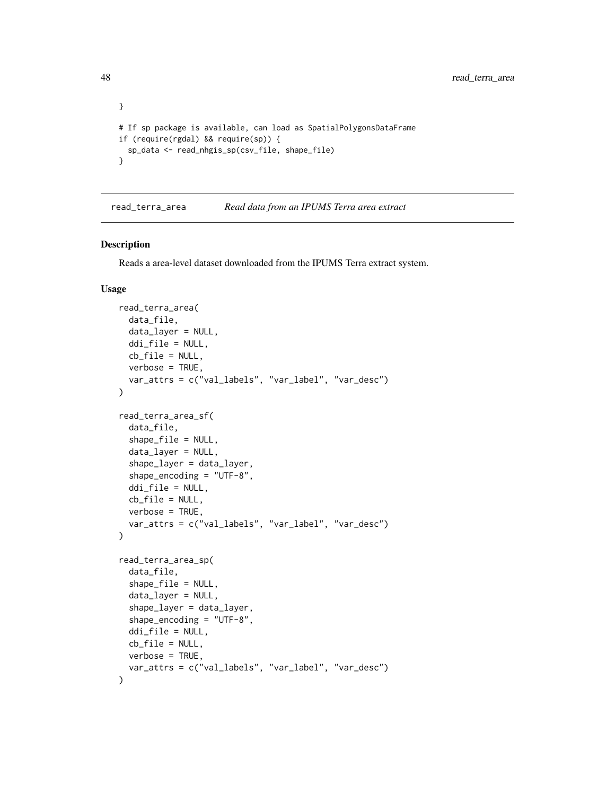```
}
# If sp package is available, can load as SpatialPolygonsDataFrame
if (require(rgdal) && require(sp)) {
  sp_data <- read_nhgis_sp(csv_file, shape_file)
}
```
<span id="page-47-1"></span>read\_terra\_area *Read data from an IPUMS Terra area extract*

#### Description

Reads a area-level dataset downloaded from the IPUMS Terra extract system.

#### Usage

```
read_terra_area(
  data_file,
  data_layer = NULL,
  ddi_file = NULL,
  cb_file = NULL,
  verbose = TRUE,
  var_attrs = c("val_labels", "var_label", "var_desc")
)
read_terra_area_sf(
  data_file,
  shape_file = NULL,
  data_layer = NULL,
  shape_layer = data_layer,
  shape_encoding = "UTF-8",
  ddi_file = NULL,
  cb_file = NULL,
  verbose = TRUE,
  var_attrs = c("val_labels", "var_label", "var_desc")
\lambdaread_terra_area_sp(
  data_file,
  shape_file = NULL,
  data_layer = NULL,
  shape_layer = data_layer,
  shape_encoding = "UTF-8",
  ddi_file = NULL,
  cb_file = NULL,verbose = TRUE,
  var_attrs = c("val_labels", "var_label", "var_desc")
)
```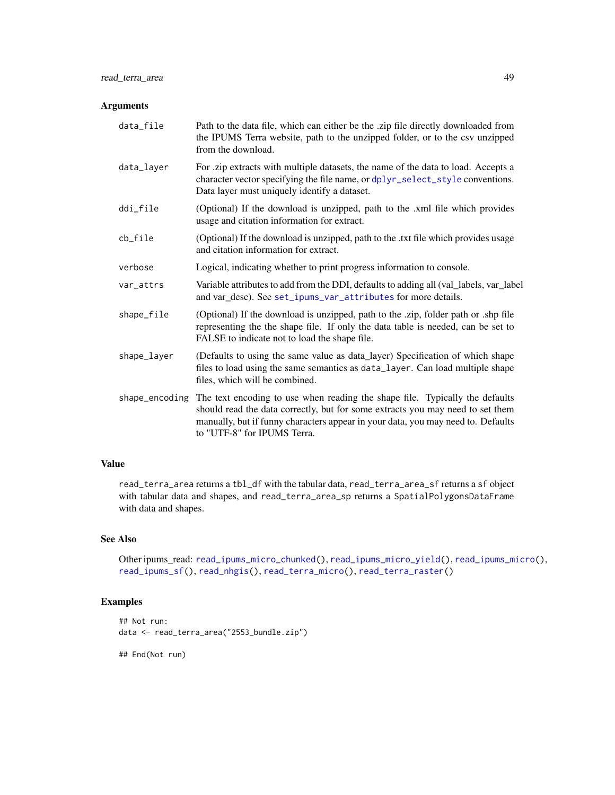#### <span id="page-48-0"></span>Arguments

| data_file      | Path to the data file, which can either be the .zip file directly downloaded from<br>the IPUMS Terra website, path to the unzipped folder, or to the csv unzipped<br>from the download.                                                                                           |
|----------------|-----------------------------------------------------------------------------------------------------------------------------------------------------------------------------------------------------------------------------------------------------------------------------------|
| data_layer     | For .zip extracts with multiple datasets, the name of the data to load. Accepts a<br>character vector specifying the file name, or dplyr_select_style conventions.<br>Data layer must uniquely identify a dataset.                                                                |
| ddi_file       | (Optional) If the download is unzipped, path to the .xml file which provides<br>usage and citation information for extract.                                                                                                                                                       |
| cb_file        | (Optional) If the download is unzipped, path to the .txt file which provides usage<br>and citation information for extract.                                                                                                                                                       |
| verbose        | Logical, indicating whether to print progress information to console.                                                                                                                                                                                                             |
| var_attrs      | Variable attributes to add from the DDI, defaults to adding all (val_labels, var_label<br>and var_desc). See set_ipums_var_attributes for more details.                                                                                                                           |
| shape_file     | (Optional) If the download is unzipped, path to the .zip, folder path or .shp file<br>representing the the shape file. If only the data table is needed, can be set to<br>FALSE to indicate not to load the shape file.                                                           |
| shape_layer    | (Defaults to using the same value as data_layer) Specification of which shape<br>files to load using the same semantics as data_layer. Can load multiple shape<br>files, which will be combined.                                                                                  |
| shape_encoding | The text encoding to use when reading the shape file. Typically the defaults<br>should read the data correctly, but for some extracts you may need to set them<br>manually, but if funny characters appear in your data, you may need to. Defaults<br>to "UTF-8" for IPUMS Terra. |

# Value

read\_terra\_area returns a tbl\_df with the tabular data, read\_terra\_area\_sf returns a sf object with tabular data and shapes, and read\_terra\_area\_sp returns a SpatialPolygonsDataFrame with data and shapes.

# See Also

Other ipums\_read: [read\\_ipums\\_micro\\_chunked\(](#page-38-1)), [read\\_ipums\\_micro\\_yield\(](#page-40-1)), [read\\_ipums\\_micro\(](#page-36-1)), [read\\_ipums\\_sf\(](#page-43-1)), [read\\_nhgis\(](#page-45-1)), [read\\_terra\\_micro\(](#page-49-1)), [read\\_terra\\_raster\(](#page-50-1))

# Examples

```
## Not run:
data <- read_terra_area("2553_bundle.zip")
```
## End(Not run)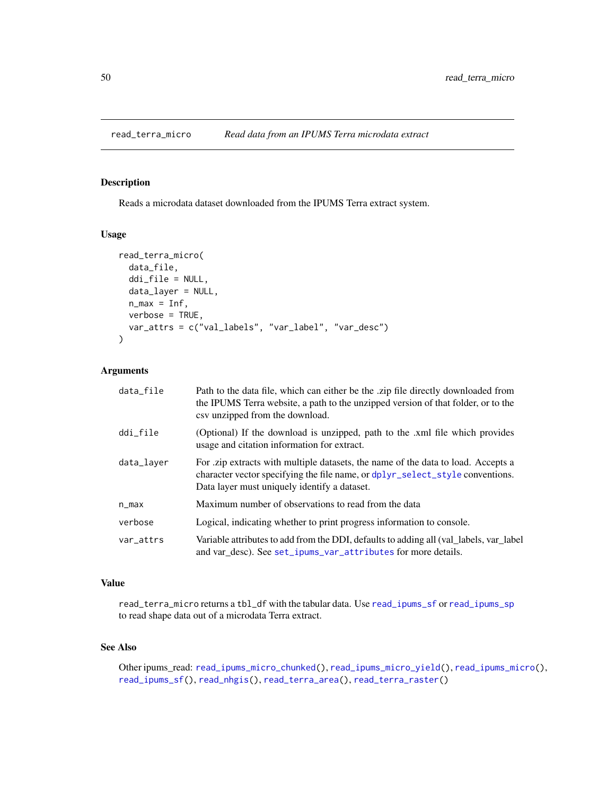<span id="page-49-1"></span><span id="page-49-0"></span>

# Description

Reads a microdata dataset downloaded from the IPUMS Terra extract system.

#### Usage

```
read_terra_micro(
  data_file,
  ddi_file = NULL,
  data_layer = NULL,
 n_max = Inf,verbose = TRUE,
 var_attrs = c("val_labels", "var_label", "var_desc")
\lambda
```
# Arguments

| data_file  | Path to the data file, which can either be the zip file directly downloaded from<br>the IPUMS Terra website, a path to the unzipped version of that folder, or to the<br>csy unzipped from the download.           |
|------------|--------------------------------------------------------------------------------------------------------------------------------------------------------------------------------------------------------------------|
| ddi_file   | (Optional) If the download is unzipped, path to the .xml file which provides<br>usage and citation information for extract.                                                                                        |
| data_layer | For .zip extracts with multiple datasets, the name of the data to load. Accepts a<br>character vector specifying the file name, or dplyr_select_style conventions.<br>Data layer must uniquely identify a dataset. |
| $n_{max}$  | Maximum number of observations to read from the data                                                                                                                                                               |
| verbose    | Logical, indicating whether to print progress information to console.                                                                                                                                              |
| var_attrs  | Variable attributes to add from the DDI, defaults to adding all (val_labels, var_label<br>and var_desc). See set_ipums_var_attributes for more details.                                                            |

# Value

read\_terra\_micro returns a tbl\_df with the tabular data. Use [read\\_ipums\\_sf](#page-43-1) or [read\\_ipums\\_sp](#page-43-3) to read shape data out of a microdata Terra extract.

# See Also

Other ipums\_read: [read\\_ipums\\_micro\\_chunked\(](#page-38-1)), [read\\_ipums\\_micro\\_yield\(](#page-40-1)), [read\\_ipums\\_micro\(](#page-36-1)), [read\\_ipums\\_sf\(](#page-43-1)), [read\\_nhgis\(](#page-45-1)), [read\\_terra\\_area\(](#page-47-1)), [read\\_terra\\_raster\(](#page-50-1))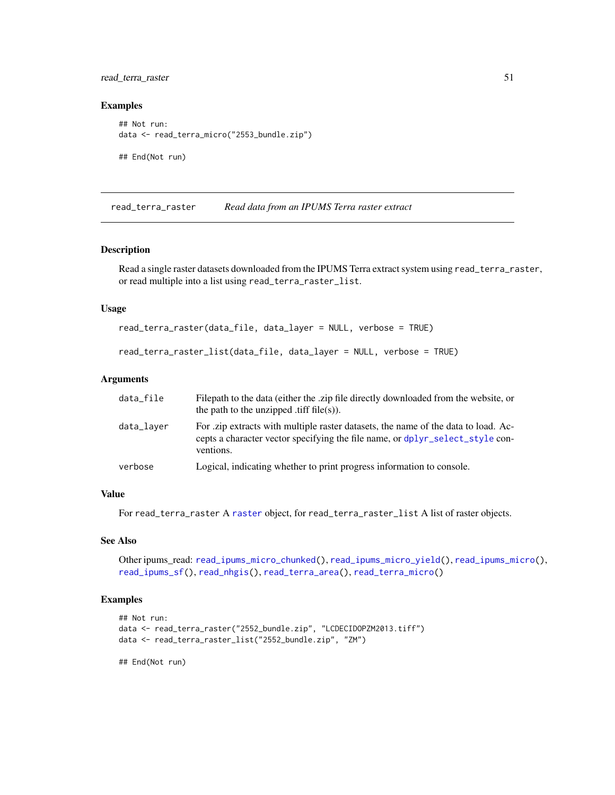<span id="page-50-0"></span>read\_terra\_raster 51

#### Examples

```
## Not run:
data <- read_terra_micro("2553_bundle.zip")
## End(Not run)
```
<span id="page-50-1"></span>read\_terra\_raster *Read data from an IPUMS Terra raster extract*

# Description

Read a single raster datasets downloaded from the IPUMS Terra extract system using read\_terra\_raster, or read multiple into a list using read\_terra\_raster\_list.

# Usage

```
read_terra_raster(data_file, data_layer = NULL, verbose = TRUE)
```

```
read_terra_raster_list(data_file, data_layer = NULL, verbose = TRUE)
```
#### Arguments

| data_file  | Filepath to the data (either the .zip file directly downloaded from the website, or<br>the path to the unzipped .tiff $file(s)$ ).                                              |
|------------|---------------------------------------------------------------------------------------------------------------------------------------------------------------------------------|
| data_layer | For zip extracts with multiple raster datasets, the name of the data to load. Ac-<br>cepts a character vector specifying the file name, or dplyr_select_style con-<br>ventions. |
| verbose    | Logical, indicating whether to print progress information to console.                                                                                                           |

# Value

For read\_terra\_[raster](#page-0-0) A raster object, for read\_terra\_raster\_list A list of raster objects.

# See Also

Other ipums\_read: [read\\_ipums\\_micro\\_chunked\(](#page-38-1)), [read\\_ipums\\_micro\\_yield\(](#page-40-1)), [read\\_ipums\\_micro\(](#page-36-1)), [read\\_ipums\\_sf\(](#page-43-1)), [read\\_nhgis\(](#page-45-1)), [read\\_terra\\_area\(](#page-47-1)), [read\\_terra\\_micro\(](#page-49-1))

# Examples

```
## Not run:
data <- read_terra_raster("2552_bundle.zip", "LCDECIDOPZM2013.tiff")
data <- read_terra_raster_list("2552_bundle.zip", "ZM")
```
## End(Not run)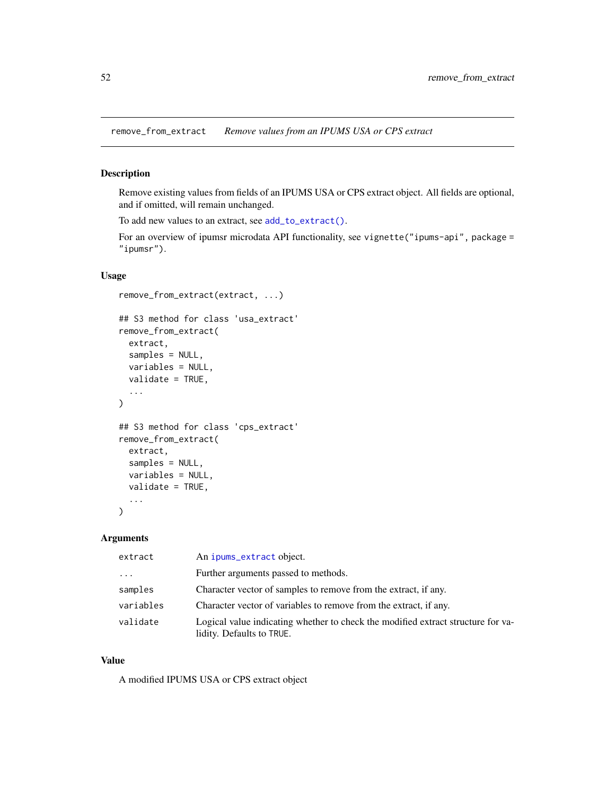<span id="page-51-1"></span><span id="page-51-0"></span>remove\_from\_extract *Remove values from an IPUMS USA or CPS extract*

# Description

Remove existing values from fields of an IPUMS USA or CPS extract object. All fields are optional, and if omitted, will remain unchanged.

To add new values to an extract, see [add\\_to\\_extract\(\)](#page-2-1).

For an overview of ipumsr microdata API functionality, see vignette("ipums-api", package = "ipumsr").

# Usage

```
remove_from_extract(extract, ...)
## S3 method for class 'usa_extract'
remove_from_extract(
 extract,
  samples = NULL,
 variables = NULL,
 validate = TRUE,
  ...
)
## S3 method for class 'cps_extract'
remove_from_extract(
 extract,
  samples = NULL,
 variables = NULL,
 validate = TRUE,
  ...
)
```
#### Arguments

| extract   | An ipums_extract object.                                                                                      |
|-----------|---------------------------------------------------------------------------------------------------------------|
| $\cdot$   | Further arguments passed to methods.                                                                          |
| samples   | Character vector of samples to remove from the extract, if any.                                               |
| variables | Character vector of variables to remove from the extract, if any.                                             |
| validate  | Logical value indicating whether to check the modified extract structure for va-<br>lidity. Defaults to TRUE. |

# Value

A modified IPUMS USA or CPS extract object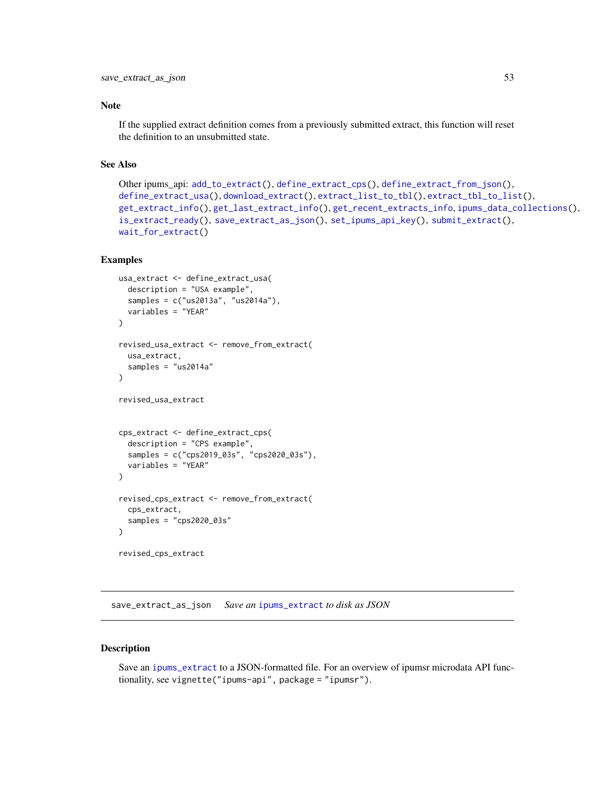#### <span id="page-52-0"></span>Note

If the supplied extract definition comes from a previously submitted extract, this function will reset the definition to an unsubmitted state.

# See Also

```
Other ipums_api: add_to_extract(), define_extract_cps(), define_extract_from_json(),
define_extract_usa(), download_extract(), extract_list_to_tbl(), extract_tbl_to_list(),
get_extract_info(), get_last_extract_info(), get_recent_extracts_info, ipums_data_collections(),
is_extract_ready(), save_extract_as_json(), set_ipums_api_key(), submit_extract(),
wait_for_extract()
```
# Examples

```
usa_extract <- define_extract_usa(
  description = "USA example",
  samples = c("us2013a", "us2014a"),
  variables = "YEAR"
\mathcal{L}revised_usa_extract <- remove_from_extract(
  usa_extract,
  samples = "us2014a"
)
revised_usa_extract
cps_extract <- define_extract_cps(
  description = "CPS example",
  samples = c("cps2019_03s", "cps2020_03s"),
  variables = "YEAR"
)
revised_cps_extract <- remove_from_extract(
  cps_extract,
  samples = "cps2020_03s"
)
revised_cps_extract
```
<span id="page-52-1"></span>save\_extract\_as\_json *Save an* [ipums\\_extract](#page-18-1) *to disk as JSON*

#### Description

Save an [ipums\\_extract](#page-18-1) to a JSON-formatted file. For an overview of ipumsr microdata API functionality, see vignette("ipums-api", package = "ipumsr").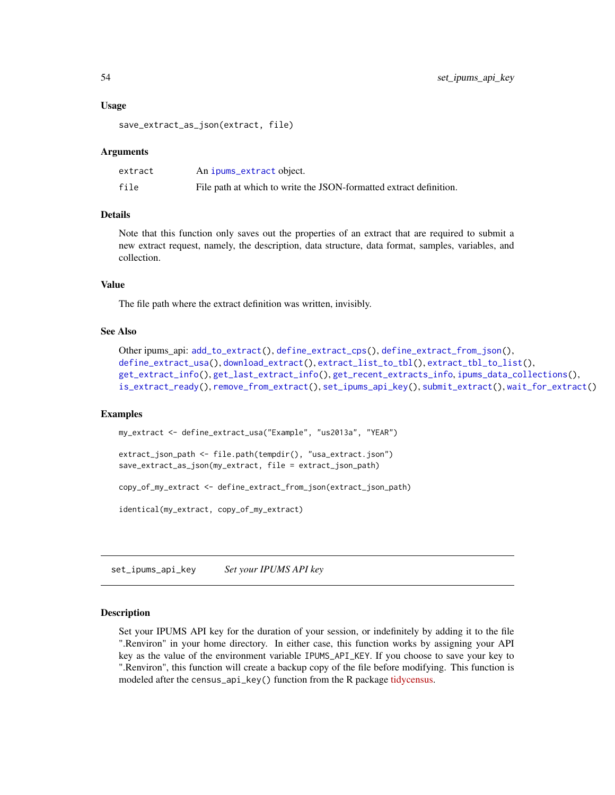#### Usage

```
save_extract_as_json(extract, file)
```
#### Arguments

| extract | An ipums_extract object.                                           |
|---------|--------------------------------------------------------------------|
| file    | File path at which to write the JSON-formatted extract definition. |

#### Details

Note that this function only saves out the properties of an extract that are required to submit a new extract request, namely, the description, data structure, data format, samples, variables, and collection.

#### Value

The file path where the extract definition was written, invisibly.

#### See Also

```
Other ipums_api: add_to_extract(), define_extract_cps(), define_extract_from_json(),
define_extract_usa(), download_extract(), extract_list_to_tbl(), extract_tbl_to_list(),
get_extract_info(), get_last_extract_info(), get_recent_extracts_info, ipums_data_collections(),
is_extract_ready(), remove_from_extract(), set_ipums_api_key(), submit_extract(), wait_for_extract()
```
#### Examples

```
my_extract <- define_extract_usa("Example", "us2013a", "YEAR")
extract_json_path <- file.path(tempdir(), "usa_extract.json")
save_extract_as_json(my_extract, file = extract_json_path)
copy_of_my_extract <- define_extract_from_json(extract_json_path)
identical(my_extract, copy_of_my_extract)
```
<span id="page-53-1"></span>set\_ipums\_api\_key *Set your IPUMS API key*

#### Description

Set your IPUMS API key for the duration of your session, or indefinitely by adding it to the file ".Renviron" in your home directory. In either case, this function works by assigning your API key as the value of the environment variable IPUMS\_API\_KEY. If you choose to save your key to ".Renviron", this function will create a backup copy of the file before modifying. This function is modeled after the census\_api\_key() function from the R package [tidycensus.](https://walker-data.com/tidycensus/)

<span id="page-53-0"></span>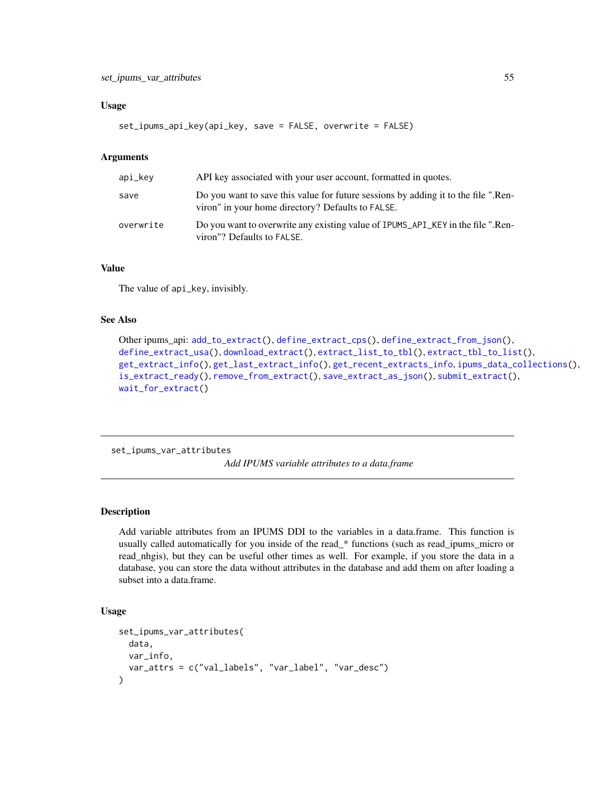#### <span id="page-54-0"></span>Usage

```
set_ipums_api_key(api_key, save = FALSE, overwrite = FALSE)
```
#### Arguments

| api_kev   | API key associated with your user account, formatted in quotes.                                                                         |
|-----------|-----------------------------------------------------------------------------------------------------------------------------------------|
| save      | Do you want to save this value for future sessions by adding it to the file ".Ren-<br>viron" in your home directory? Defaults to FALSE. |
| overwrite | Do you want to overwrite any existing value of IPUMS_API_KEY in the file ".Ren-<br>viron"? Defaults to FALSE.                           |

# Value

The value of api\_key, invisibly.

#### See Also

```
Other ipums_api: add_to_extract(), define_extract_cps(), define_extract_from_json(),
define_extract_usa(), download_extract(), extract_list_to_tbl(), extract_tbl_to_list(),
get_extract_info(), get_last_extract_info(), get_recent_extracts_info, ipums_data_collections(),
is_extract_ready(), remove_from_extract(), save_extract_as_json(), submit_extract(),
wait_for_extract()
```
<span id="page-54-1"></span>set\_ipums\_var\_attributes

*Add IPUMS variable attributes to a data.frame*

# Description

Add variable attributes from an IPUMS DDI to the variables in a data.frame. This function is usually called automatically for you inside of the read\_\* functions (such as read\_ipums\_micro or read\_nhgis), but they can be useful other times as well. For example, if you store the data in a database, you can store the data without attributes in the database and add them on after loading a subset into a data.frame.

#### Usage

```
set_ipums_var_attributes(
  data,
  var_info,
  var_attrs = c("val_labels", "var_label", "var_desc")
)
```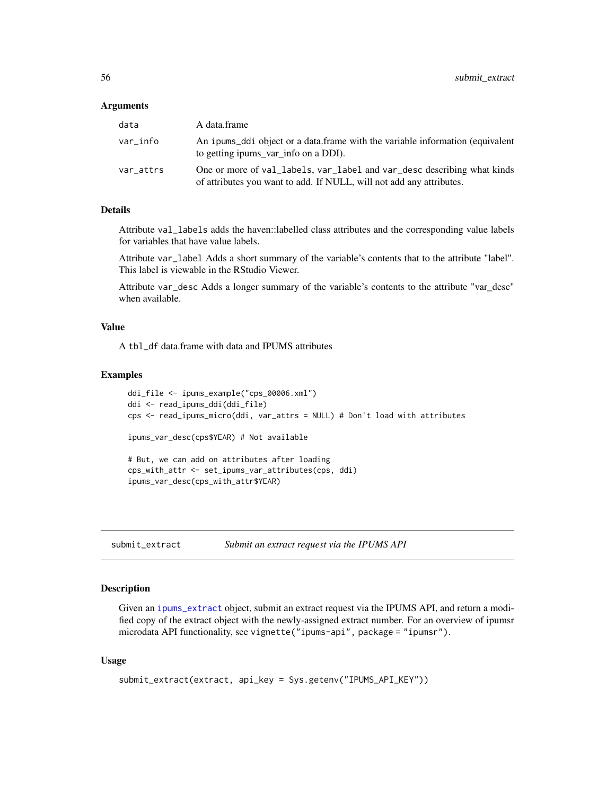#### <span id="page-55-0"></span>**Arguments**

| data      | A data.frame                                                                                                                                    |
|-----------|-------------------------------------------------------------------------------------------------------------------------------------------------|
| var info  | An ipums_ddi object or a data.frame with the variable information (equivalent<br>to getting ipums_var_info on a DDI).                           |
| var_attrs | One or more of val_labels, var_label and var_desc describing what kinds<br>of attributes you want to add. If NULL, will not add any attributes. |

# Details

Attribute val\_labels adds the haven::labelled class attributes and the corresponding value labels for variables that have value labels.

Attribute var\_label Adds a short summary of the variable's contents that to the attribute "label". This label is viewable in the RStudio Viewer.

Attribute var\_desc Adds a longer summary of the variable's contents to the attribute "var\_desc" when available.

# Value

A tbl\_df data.frame with data and IPUMS attributes

#### Examples

```
ddi_file <- ipums_example("cps_00006.xml")
ddi <- read_ipums_ddi(ddi_file)
cps <- read_ipums_micro(ddi, var_attrs = NULL) # Don't load with attributes
ipums_var_desc(cps$YEAR) # Not available
# But, we can add on attributes after loading
cps_with_attr <- set_ipums_var_attributes(cps, ddi)
ipums_var_desc(cps_with_attr$YEAR)
```
<span id="page-55-1"></span>submit\_extract *Submit an extract request via the IPUMS API*

# Description

Given an [ipums\\_extract](#page-18-1) object, submit an extract request via the IPUMS API, and return a modified copy of the extract object with the newly-assigned extract number. For an overview of ipumsr microdata API functionality, see vignette("ipums-api", package = "ipumsr").

#### Usage

```
submit_extract(extract, api_key = Sys.getenv("IPUMS_API_KEY"))
```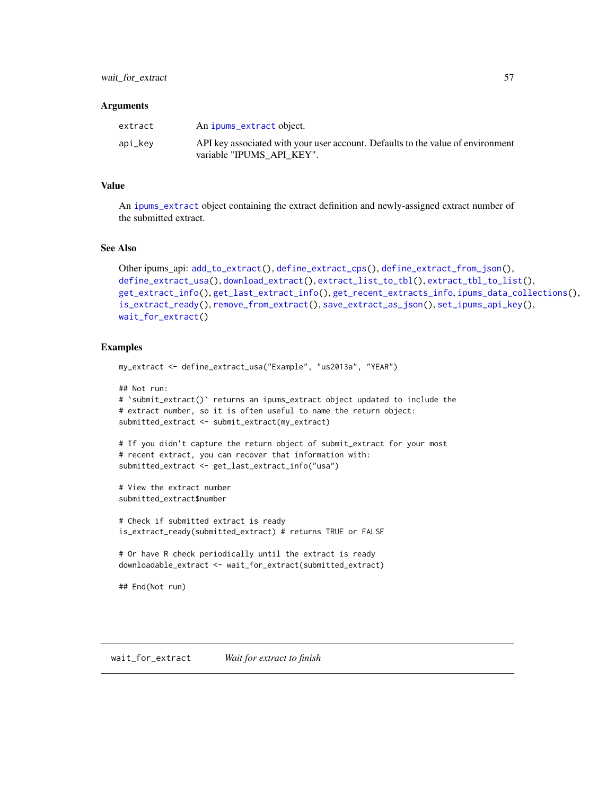#### <span id="page-56-0"></span>**Arguments**

| extract | An ipums_extract object.                                                                                     |
|---------|--------------------------------------------------------------------------------------------------------------|
| api_key | API key associated with your user account. Defaults to the value of environment<br>variable "IPUMS API KEY". |

#### Value

An [ipums\\_extract](#page-18-1) object containing the extract definition and newly-assigned extract number of the submitted extract.

# See Also

```
Other ipums_api: add_to_extract(), define_extract_cps(), define_extract_from_json(),
define_extract_usa(), download_extract(), extract_list_to_tbl(), extract_tbl_to_list(),
get_extract_info(), get_last_extract_info(), get_recent_extracts_info, ipums_data_collections(),
is_extract_ready(), remove_from_extract(), save_extract_as_json(), set_ipums_api_key(),
wait_for_extract()
```
# Examples

```
my_extract <- define_extract_usa("Example", "us2013a", "YEAR")
## Not run:
# `submit_extract()` returns an ipums_extract object updated to include the
# extract number, so it is often useful to name the return object:
submitted_extract <- submit_extract(my_extract)
# If you didn't capture the return object of submit_extract for your most
# recent extract, you can recover that information with:
submitted_extract <- get_last_extract_info("usa")
# View the extract number
submitted_extract$number
# Check if submitted extract is ready
is_extract_ready(submitted_extract) # returns TRUE or FALSE
# Or have R check periodically until the extract is ready
downloadable_extract <- wait_for_extract(submitted_extract)
## End(Not run)
```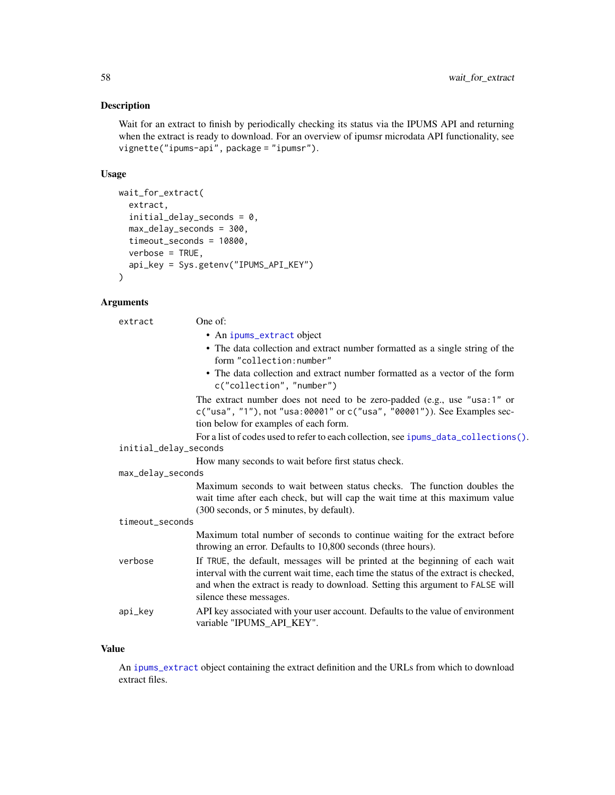# <span id="page-57-0"></span>Description

Wait for an extract to finish by periodically checking its status via the IPUMS API and returning when the extract is ready to download. For an overview of ipumsr microdata API functionality, see vignette("ipums-api", package = "ipumsr").

# Usage

```
wait_for_extract(
 extract,
  initial_delay_seconds = 0,
 max_delay_seconds = 300,
  timeout_seconds = 10800,
  verbose = TRUE,
  api_key = Sys.getenv("IPUMS_API_KEY")
)
```
#### Arguments

| extract               | One of:                                                                                                                                                                                                                                                                           |
|-----------------------|-----------------------------------------------------------------------------------------------------------------------------------------------------------------------------------------------------------------------------------------------------------------------------------|
|                       | • An ipums_extract object                                                                                                                                                                                                                                                         |
|                       | • The data collection and extract number formatted as a single string of the<br>form "collection:number"                                                                                                                                                                          |
|                       | • The data collection and extract number formatted as a vector of the form<br>c("collection", "number")                                                                                                                                                                           |
|                       | The extract number does not need to be zero-padded (e.g., use "usa:1" or<br>c("usa", "1"), not "usa:00001" or c("usa", "00001")). See Examples sec-<br>tion below for examples of each form.                                                                                      |
|                       | For a list of codes used to refer to each collection, see ipums_data_collections().                                                                                                                                                                                               |
| initial_delay_seconds |                                                                                                                                                                                                                                                                                   |
|                       | How many seconds to wait before first status check.                                                                                                                                                                                                                               |
| max_delay_seconds     |                                                                                                                                                                                                                                                                                   |
|                       | Maximum seconds to wait between status checks. The function doubles the<br>wait time after each check, but will cap the wait time at this maximum value<br>(300 seconds, or 5 minutes, by default).                                                                               |
| timeout_seconds       |                                                                                                                                                                                                                                                                                   |
|                       | Maximum total number of seconds to continue waiting for the extract before<br>throwing an error. Defaults to 10,800 seconds (three hours).                                                                                                                                        |
| verbose               | If TRUE, the default, messages will be printed at the beginning of each wait<br>interval with the current wait time, each time the status of the extract is checked,<br>and when the extract is ready to download. Setting this argument to FALSE will<br>silence these messages. |
| api_key               | API key associated with your user account. Defaults to the value of environment<br>variable "IPUMS_API_KEY".                                                                                                                                                                      |

# Value

An [ipums\\_extract](#page-18-1) object containing the extract definition and the URLs from which to download extract files.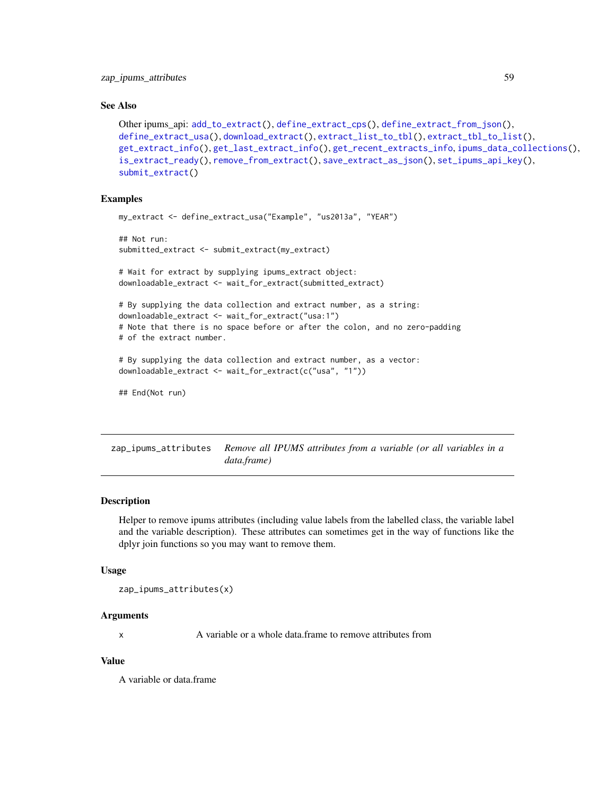#### <span id="page-58-0"></span>See Also

```
Other ipums_api: add_to_extract(), define_extract_cps(), define_extract_from_json(),
define_extract_usa(), download_extract(), extract_list_to_tbl(), extract_tbl_to_list(),
get_extract_info(), get_last_extract_info(), get_recent_extracts_info, ipums_data_collections(),
is_extract_ready(), remove_from_extract(), save_extract_as_json(), set_ipums_api_key(),
submit_extract()
```
# Examples

```
my_extract <- define_extract_usa("Example", "us2013a", "YEAR")
## Not run:
submitted_extract <- submit_extract(my_extract)
# Wait for extract by supplying ipums_extract object:
downloadable_extract <- wait_for_extract(submitted_extract)
# By supplying the data collection and extract number, as a string:
downloadable_extract <- wait_for_extract("usa:1")
# Note that there is no space before or after the colon, and no zero-padding
# of the extract number.
# By supplying the data collection and extract number, as a vector:
downloadable_extract <- wait_for_extract(c("usa", "1"))
## End(Not run)
```
<span id="page-58-1"></span>zap\_ipums\_attributes *Remove all IPUMS attributes from a variable (or all variables in a data.frame)*

#### Description

Helper to remove ipums attributes (including value labels from the labelled class, the variable label and the variable description). These attributes can sometimes get in the way of functions like the dplyr join functions so you may want to remove them.

#### Usage

zap\_ipums\_attributes(x)

#### Arguments

x A variable or a whole data.frame to remove attributes from

#### Value

A variable or data.frame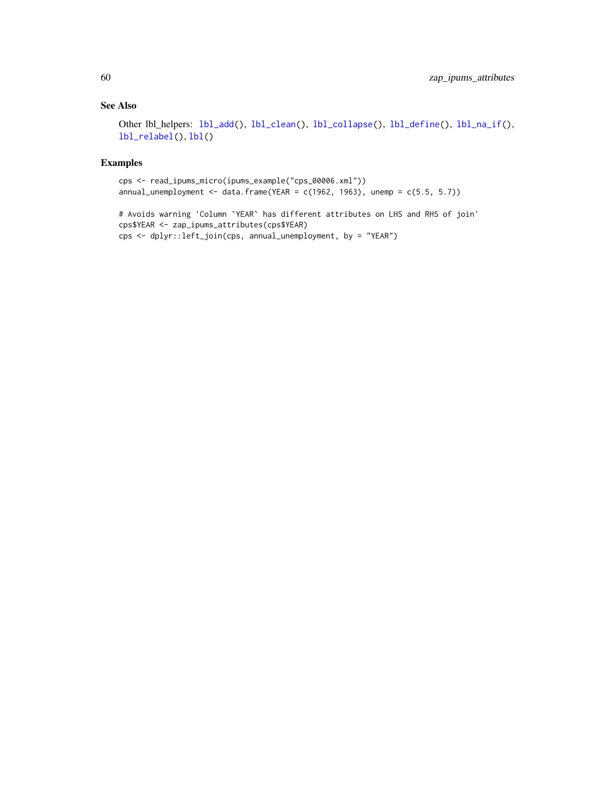# <span id="page-59-0"></span>See Also

Other lbl\_helpers: [lbl\\_add\(](#page-28-1)), [lbl\\_clean\(](#page-29-1)), [lbl\\_collapse\(](#page-30-1)), [lbl\\_define\(](#page-31-1)), [lbl\\_na\\_if\(](#page-32-1)), [lbl\\_relabel\(](#page-33-1)), [lbl\(](#page-28-2))

# Examples

```
cps <- read_ipums_micro(ipums_example("cps_00006.xml"))
annual_unemployment <- data.frame(YEAR = c(1962, 1963), unemp = c(5.5, 5.7))
```
# Avoids warning 'Column `YEAR` has different attributes on LHS and RHS of join' cps\$YEAR <- zap\_ipums\_attributes(cps\$YEAR) cps <- dplyr::left\_join(cps, annual\_unemployment, by = "YEAR")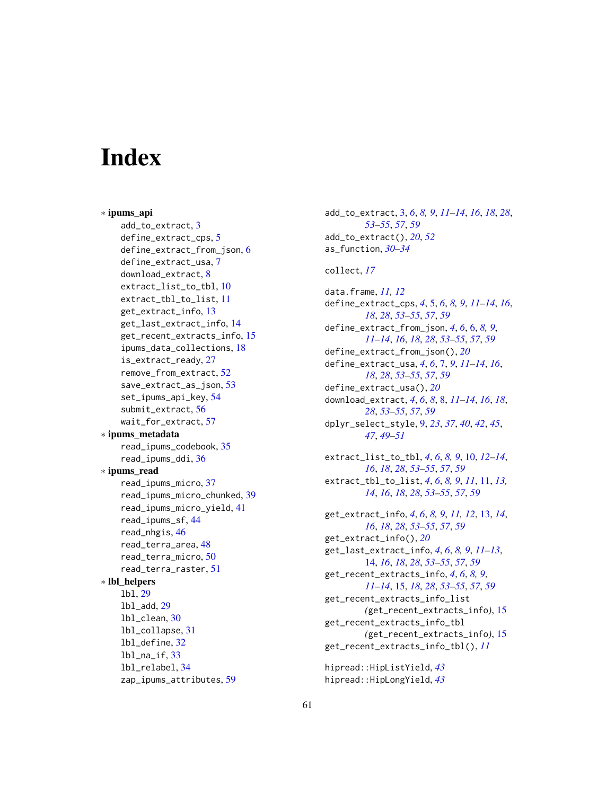# <span id="page-60-0"></span>**Index**

∗ ipums\_api add\_to\_extract, [3](#page-2-0) define\_extract\_cps, [5](#page-4-0) define\_extract\_from\_json, [6](#page-5-0) define\_extract\_usa, [7](#page-6-0) download\_extract, [8](#page-7-0) extract\_list\_to\_tbl, [10](#page-9-0) extract\_tbl\_to\_list, [11](#page-10-0) get\_extract\_info, [13](#page-12-0) get\_last\_extract\_info, [14](#page-13-0) get\_recent\_extracts\_info, [15](#page-14-0) ipums\_data\_collections, [18](#page-17-0) is\_extract\_ready, [27](#page-26-0) remove\_from\_extract, [52](#page-51-0) save\_extract\_as\_json, [53](#page-52-0) set\_ipums\_api\_key, [54](#page-53-0) submit\_extract, [56](#page-55-0) wait\_for\_extract, [57](#page-56-0) ∗ ipums\_metadata read\_ipums\_codebook, [35](#page-34-0) read\_ipums\_ddi, [36](#page-35-0) ∗ ipums\_read read\_ipums\_micro, [37](#page-36-0) read\_ipums\_micro\_chunked, [39](#page-38-0) read\_ipums\_micro\_yield, [41](#page-40-0) read\_ipums\_sf, [44](#page-43-0) read\_nhgis, [46](#page-45-0) read\_terra\_area, [48](#page-47-0) read\_terra\_micro, [50](#page-49-0) read\_terra\_raster, [51](#page-50-0) ∗ lbl\_helpers lbl, [29](#page-28-0) lbl\_add, [29](#page-28-0) lbl\_clean, [30](#page-29-0) lbl\_collapse, [31](#page-30-0) lbl\_define, [32](#page-31-0) lbl\_na\_if, [33](#page-32-0) lbl\_relabel, [34](#page-33-0) zap\_ipums\_attributes, [59](#page-58-0)

add\_to\_extract, [3,](#page-2-0) *[6](#page-5-0)*, *[8,](#page-7-0) [9](#page-8-0)*, *[11](#page-10-0)[–14](#page-13-0)*, *[16](#page-15-0)*, *[18](#page-17-0)*, *[28](#page-27-0)*, *[53](#page-52-0)[–55](#page-54-0)*, *[57](#page-56-0)*, *[59](#page-58-0)* add\_to\_extract(), *[20](#page-19-0)*, *[52](#page-51-0)* as\_function, *[30](#page-29-0)[–34](#page-33-0)* collect, *[17](#page-16-0)* data.frame, *[11,](#page-10-0) [12](#page-11-0)* define\_extract\_cps, *[4](#page-3-0)*, [5,](#page-4-0) *[6](#page-5-0)*, *[8,](#page-7-0) [9](#page-8-0)*, *[11](#page-10-0)[–14](#page-13-0)*, *[16](#page-15-0)*, *[18](#page-17-0)*, *[28](#page-27-0)*, *[53](#page-52-0)[–55](#page-54-0)*, *[57](#page-56-0)*, *[59](#page-58-0)* define\_extract\_from\_json, *[4](#page-3-0)*, *[6](#page-5-0)*, [6,](#page-5-0) *[8,](#page-7-0) [9](#page-8-0)*, *[11](#page-10-0)[–14](#page-13-0)*, *[16](#page-15-0)*, *[18](#page-17-0)*, *[28](#page-27-0)*, *[53](#page-52-0)[–55](#page-54-0)*, *[57](#page-56-0)*, *[59](#page-58-0)* define\_extract\_from\_json(), *[20](#page-19-0)* define\_extract\_usa, *[4](#page-3-0)*, *[6](#page-5-0)*, [7,](#page-6-0) *[9](#page-8-0)*, *[11](#page-10-0)[–14](#page-13-0)*, *[16](#page-15-0)*, *[18](#page-17-0)*, *[28](#page-27-0)*, *[53](#page-52-0)[–55](#page-54-0)*, *[57](#page-56-0)*, *[59](#page-58-0)* define\_extract\_usa(), *[20](#page-19-0)* download\_extract, *[4](#page-3-0)*, *[6](#page-5-0)*, *[8](#page-7-0)*, [8,](#page-7-0) *[11](#page-10-0)[–14](#page-13-0)*, *[16](#page-15-0)*, *[18](#page-17-0)*, *[28](#page-27-0)*, *[53](#page-52-0)[–55](#page-54-0)*, *[57](#page-56-0)*, *[59](#page-58-0)* dplyr\_select\_style, [9,](#page-8-0) *[23](#page-22-0)*, *[37](#page-36-0)*, *[40](#page-39-0)*, *[42](#page-41-0)*, *[45](#page-44-0)*, *[47](#page-46-0)*, *[49](#page-48-0)[–51](#page-50-0)* extract\_list\_to\_tbl, *[4](#page-3-0)*, *[6](#page-5-0)*, *[8,](#page-7-0) [9](#page-8-0)*, [10,](#page-9-0) *[12](#page-11-0)[–14](#page-13-0)*, *[16](#page-15-0)*, *[18](#page-17-0)*, *[28](#page-27-0)*, *[53](#page-52-0)[–55](#page-54-0)*, *[57](#page-56-0)*, *[59](#page-58-0)* extract\_tbl\_to\_list, *[4](#page-3-0)*, *[6](#page-5-0)*, *[8,](#page-7-0) [9](#page-8-0)*, *[11](#page-10-0)*, [11,](#page-10-0) *[13,](#page-12-0) [14](#page-13-0)*, *[16](#page-15-0)*, *[18](#page-17-0)*, *[28](#page-27-0)*, *[53](#page-52-0)[–55](#page-54-0)*, *[57](#page-56-0)*, *[59](#page-58-0)* get\_extract\_info, *[4](#page-3-0)*, *[6](#page-5-0)*, *[8,](#page-7-0) [9](#page-8-0)*, *[11,](#page-10-0) [12](#page-11-0)*, [13,](#page-12-0) *[14](#page-13-0)*, *[16](#page-15-0)*, *[18](#page-17-0)*, *[28](#page-27-0)*, *[53](#page-52-0)[–55](#page-54-0)*, *[57](#page-56-0)*, *[59](#page-58-0)* get\_extract\_info(), *[20](#page-19-0)* get\_last\_extract\_info, *[4](#page-3-0)*, *[6](#page-5-0)*, *[8,](#page-7-0) [9](#page-8-0)*, *[11](#page-10-0)[–13](#page-12-0)*, [14,](#page-13-0) *[16](#page-15-0)*, *[18](#page-17-0)*, *[28](#page-27-0)*, *[53](#page-52-0)[–55](#page-54-0)*, *[57](#page-56-0)*, *[59](#page-58-0)* get\_recent\_extracts\_info, *[4](#page-3-0)*, *[6](#page-5-0)*, *[8,](#page-7-0) [9](#page-8-0)*, *[11](#page-10-0)[–14](#page-13-0)*, [15,](#page-14-0) *[18](#page-17-0)*, *[28](#page-27-0)*, *[53](#page-52-0)[–55](#page-54-0)*, *[57](#page-56-0)*, *[59](#page-58-0)* get\_recent\_extracts\_info\_list *(*get\_recent\_extracts\_info*)*, [15](#page-14-0) get\_recent\_extracts\_info\_tbl *(*get\_recent\_extracts\_info*)*, [15](#page-14-0) get\_recent\_extracts\_info\_tbl(), *[11](#page-10-0)*

hipread::HipListYield, *[43](#page-42-3)* hipread::HipLongYield, *[43](#page-42-3)*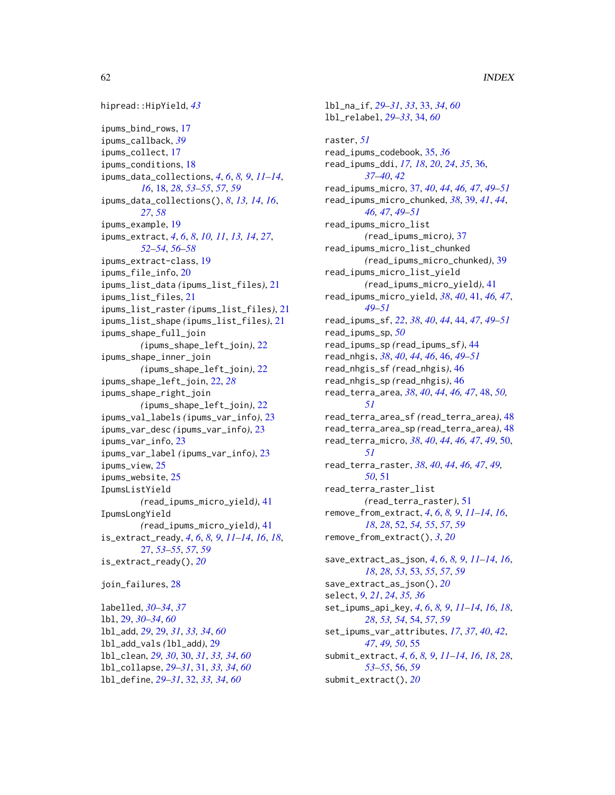```
hipread::HipYield, 43
ipums_bind_rows, 17
ipums_callback, 39
ipums_collect, 17
ipums_conditions, 18
ipums_data_collections, 4, 6, 8, 9, 11–14,
        16, 18, 28, 53–55, 57, 59
ipums_data_collections(), 8, 13, 14, 16,
        27, 58
ipums_example, 19
ipums_extract, 4, 6, 8, 10, 11, 13, 14, 27,
        52–54, 56–58
ipums_extract-class, 19
ipums_file_info, 20
ipums_list_data (ipums_list_files), 21
ipums_list_files, 21
ipums_list_raster (ipums_list_files), 21
ipums_list_shape (ipums_list_files), 21
ipums_shape_full_join
        (ipums_shape_left_join), 22
ipums_shape_inner_join
        (ipums_shape_left_join), 22
ipums_shape_left_join, 22, 28
ipums_shape_right_join
        (ipums_shape_left_join), 22
ipums_val_labels (ipums_var_info), 23
ipums_var_desc (ipums_var_info), 23
ipums_var_info, 23
ipums_var_label (ipums_var_info), 23
ipums_view, 25
ipums_website, 25
IpumsListYield
        (read_ipums_micro_yield), 41
IpumsLongYield
        (read_ipums_micro_yield), 41
is_extract_ready, 4, 6, 8, 9, 11–14, 16, 18,
        27, 53–55, 57, 59
is_extract_ready(), 20
join_failures, 28
```
labelled, *[30](#page-29-0)[–34](#page-33-0)*, *[37](#page-36-0)* lbl, [29,](#page-28-0) *[30](#page-29-0)[–34](#page-33-0)*, *[60](#page-59-0)* lbl\_add, *[29](#page-28-0)*, [29,](#page-28-0) *[31](#page-30-0)*, *[33,](#page-32-0) [34](#page-33-0)*, *[60](#page-59-0)* lbl\_add\_vals *(*lbl\_add*)*, [29](#page-28-0) lbl\_clean, *[29,](#page-28-0) [30](#page-29-0)*, [30,](#page-29-0) *[31](#page-30-0)*, *[33,](#page-32-0) [34](#page-33-0)*, *[60](#page-59-0)* lbl\_collapse, *[29](#page-28-0)[–31](#page-30-0)*, [31,](#page-30-0) *[33,](#page-32-0) [34](#page-33-0)*, *[60](#page-59-0)* lbl\_define, *[29](#page-28-0)[–31](#page-30-0)*, [32,](#page-31-0) *[33,](#page-32-0) [34](#page-33-0)*, *[60](#page-59-0)*

lbl\_relabel, *[29](#page-28-0)[–33](#page-32-0)*, [34,](#page-33-0) *[60](#page-59-0)* raster, *[51](#page-50-0)* read\_ipums\_codebook, [35,](#page-34-0) *[36](#page-35-0)* read\_ipums\_ddi, *[17,](#page-16-0) [18](#page-17-0)*, *[20](#page-19-0)*, *[24](#page-23-0)*, *[35](#page-34-0)*, [36,](#page-35-0) *[37](#page-36-0)[–40](#page-39-0)*, *[42](#page-41-0)* read\_ipums\_micro, [37,](#page-36-0) *[40](#page-39-0)*, *[44](#page-43-0)*, *[46,](#page-45-0) [47](#page-46-0)*, *[49](#page-48-0)[–51](#page-50-0)* read\_ipums\_micro\_chunked, *[38](#page-37-0)*, [39,](#page-38-0) *[41](#page-40-0)*, *[44](#page-43-0)*, *[46,](#page-45-0) [47](#page-46-0)*, *[49](#page-48-0)[–51](#page-50-0)* read\_ipums\_micro\_list *(*read\_ipums\_micro*)*, [37](#page-36-0) read\_ipums\_micro\_list\_chunked *(*read\_ipums\_micro\_chunked*)*, [39](#page-38-0) read\_ipums\_micro\_list\_yield *(*read\_ipums\_micro\_yield*)*, [41](#page-40-0) read\_ipums\_micro\_yield, *[38](#page-37-0)*, *[40](#page-39-0)*, [41,](#page-40-0) *[46,](#page-45-0) [47](#page-46-0)*, *[49](#page-48-0)[–51](#page-50-0)* read\_ipums\_sf, *[22](#page-21-0)*, *[38](#page-37-0)*, *[40](#page-39-0)*, *[44](#page-43-0)*, [44,](#page-43-0) *[47](#page-46-0)*, *[49](#page-48-0)[–51](#page-50-0)* read\_ipums\_sp, *[50](#page-49-0)* read\_ipums\_sp *(*read\_ipums\_sf*)*, [44](#page-43-0) read\_nhgis, *[38](#page-37-0)*, *[40](#page-39-0)*, *[44](#page-43-0)*, *[46](#page-45-0)*, [46,](#page-45-0) *[49](#page-48-0)[–51](#page-50-0)* read\_nhgis\_sf *(*read\_nhgis*)*, [46](#page-45-0) read\_nhgis\_sp *(*read\_nhgis*)*, [46](#page-45-0) read\_terra\_area, *[38](#page-37-0)*, *[40](#page-39-0)*, *[44](#page-43-0)*, *[46,](#page-45-0) [47](#page-46-0)*, [48,](#page-47-0) *[50,](#page-49-0) [51](#page-50-0)* read\_terra\_area\_sf *(*read\_terra\_area*)*, [48](#page-47-0) read\_terra\_area\_sp *(*read\_terra\_area*)*, [48](#page-47-0) read\_terra\_micro, *[38](#page-37-0)*, *[40](#page-39-0)*, *[44](#page-43-0)*, *[46,](#page-45-0) [47](#page-46-0)*, *[49](#page-48-0)*, [50,](#page-49-0) *[51](#page-50-0)* read\_terra\_raster, *[38](#page-37-0)*, *[40](#page-39-0)*, *[44](#page-43-0)*, *[46,](#page-45-0) [47](#page-46-0)*, *[49,](#page-48-0) [50](#page-49-0)*, [51](#page-50-0) read\_terra\_raster\_list *(*read\_terra\_raster*)*, [51](#page-50-0) remove\_from\_extract, *[4](#page-3-0)*, *[6](#page-5-0)*, *[8,](#page-7-0) [9](#page-8-0)*, *[11](#page-10-0)[–14](#page-13-0)*, *[16](#page-15-0)*, *[18](#page-17-0)*, *[28](#page-27-0)*, [52,](#page-51-0) *[54,](#page-53-0) [55](#page-54-0)*, *[57](#page-56-0)*, *[59](#page-58-0)* remove\_from\_extract(), *[3](#page-2-0)*, *[20](#page-19-0)* save\_extract\_as\_json, *[4](#page-3-0)*, *[6](#page-5-0)*, *[8,](#page-7-0) [9](#page-8-0)*, *[11](#page-10-0)[–14](#page-13-0)*, *[16](#page-15-0)*, *[18](#page-17-0)*, *[28](#page-27-0)*, *[53](#page-52-0)*, [53,](#page-52-0) *[55](#page-54-0)*, *[57](#page-56-0)*, *[59](#page-58-0)* save\_extract\_as\_json(), *[20](#page-19-0)* select, *[9](#page-8-0)*, *[21](#page-20-0)*, *[24](#page-23-0)*, *[35,](#page-34-0) [36](#page-35-0)* set\_ipums\_api\_key, *[4](#page-3-0)*, *[6](#page-5-0)*, *[8,](#page-7-0) [9](#page-8-0)*, *[11](#page-10-0)[–14](#page-13-0)*, *[16](#page-15-0)*, *[18](#page-17-0)*, *[28](#page-27-0)*, *[53,](#page-52-0) [54](#page-53-0)*, [54,](#page-53-0) *[57](#page-56-0)*, *[59](#page-58-0)* set\_ipums\_var\_attributes, *[17](#page-16-0)*, *[37](#page-36-0)*, *[40](#page-39-0)*, *[42](#page-41-0)*, *[47](#page-46-0)*, *[49,](#page-48-0) [50](#page-49-0)*, [55](#page-54-0) submit\_extract, *[4](#page-3-0)*, *[6](#page-5-0)*, *[8,](#page-7-0) [9](#page-8-0)*, *[11](#page-10-0)[–14](#page-13-0)*, *[16](#page-15-0)*, *[18](#page-17-0)*, *[28](#page-27-0)*, *[53](#page-52-0)[–55](#page-54-0)*, [56,](#page-55-0) *[59](#page-58-0)* submit\_extract(), *[20](#page-19-0)*

lbl\_na\_if, *[29](#page-28-0)[–31](#page-30-0)*, *[33](#page-32-0)*, [33,](#page-32-0) *[34](#page-33-0)*, *[60](#page-59-0)*